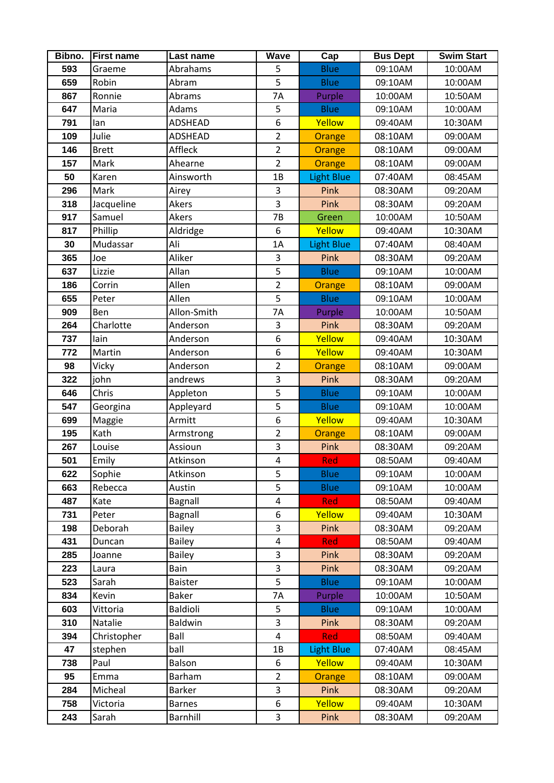| Bibno.     | <b>First name</b>      | Last name              | Wave           | Cap                 | <b>Bus Dept</b>    | <b>Swim Start</b>  |
|------------|------------------------|------------------------|----------------|---------------------|--------------------|--------------------|
| 593        | Graeme                 | Abrahams               | 5              | <b>Blue</b>         | 09:10AM            | 10:00AM            |
| 659        | Robin                  | Abram                  | 5              | <b>Blue</b>         | 09:10AM            | 10:00AM            |
| 867        | Ronnie                 | Abrams                 | 7A             | Purple              | 10:00AM            | 10:50AM            |
| 647        | Maria                  | Adams                  | 5              | <b>Blue</b>         | 09:10AM            | 10:00AM            |
| 791        | lan                    | <b>ADSHEAD</b>         | 6              | Yellow              | 09:40AM            | 10:30AM            |
| 109        | Julie                  | <b>ADSHEAD</b>         | $\overline{2}$ | Orange              | 08:10AM            | 09:00AM            |
| 146        | <b>Brett</b>           | Affleck                | $\overline{2}$ | Orange              | 08:10AM            | 09:00AM            |
| 157        | Mark                   | Ahearne                | $\overline{2}$ | Orange              | 08:10AM            | 09:00AM            |
| 50         | Karen                  | Ainsworth              | 1B             | Light Blue          | 07:40AM            | 08:45AM            |
| 296        | Mark                   | Airey                  | 3              | Pink                | 08:30AM            | 09:20AM            |
| 318        | Jacqueline             | Akers                  | 3              | Pink                | 08:30AM            | 09:20AM            |
| 917        | Samuel                 | Akers                  | 7B             | Green               | 10:00AM            | 10:50AM            |
| 817        | Phillip                | Aldridge               | 6              | Yellow              | 09:40AM            | 10:30AM            |
| 30         | Mudassar               | Ali                    | 1A             | <b>Light Blue</b>   | 07:40AM            | 08:40AM            |
| 365        | Joe                    | Aliker                 | 3              | Pink                | 08:30AM            | 09:20AM            |
| 637        | Lizzie                 | Allan                  | 5              | <b>Blue</b>         | 09:10AM            | 10:00AM            |
| 186        | Corrin                 | Allen                  | $\overline{2}$ | Orange              | 08:10AM            | 09:00AM            |
| 655        | Peter                  | Allen                  | 5              | <b>Blue</b>         | 09:10AM            | 10:00AM            |
| 909        | Ben                    | Allon-Smith            | 7A             | Purple              | 10:00AM            | 10:50AM            |
| 264        | Charlotte              | Anderson               | 3              | Pink                | 08:30AM            | 09:20AM            |
| 737        | lain                   | Anderson               | 6              | Yellow              | 09:40AM            | 10:30AM            |
| 772        | Martin                 | Anderson               | 6              | Yellow              | 09:40AM            | 10:30AM            |
| 98         | Vicky                  | Anderson               | $\overline{2}$ | Orange              | 08:10AM            | 09:00AM            |
| 322        | john                   | andrews                | 3              | Pink                | 08:30AM            | 09:20AM            |
| 646        | Chris                  | Appleton               | 5              | <b>Blue</b>         | 09:10AM            | 10:00AM            |
| 547        | Georgina               | Appleyard              | 5              | <b>Blue</b>         | 09:10AM            | 10:00AM            |
| 699        | Maggie                 | Armitt                 | 6              | Yellow              | 09:40AM            | 10:30AM            |
| 195        | Kath                   | Armstrong              | $\overline{2}$ | Orange              | 08:10AM            | 09:00AM            |
| 267        | Louise                 | Assioun                | 3              | Pink                | 08:30AM            | 09:20AM            |
| 501        | Emily                  | Atkinson               | 4              | <b>Red</b>          | 08:50AM            | 09:40AM            |
| 622        | Sophie                 | Atkinson               | 5              | <b>Blue</b>         | 09:10AM            | 10:00AM            |
| 663        | Rebecca                | Austin                 | 5              | <b>Blue</b>         | 09:10AM            | 10:00AM            |
| 487        | Kate                   | Bagnall                | 4              | <b>Red</b>          | 08:50AM            | 09:40AM            |
| 731        | Peter                  | Bagnall                | 6              | Yellow              | 09:40AM            | 10:30AM            |
| 198        | Deborah                | <b>Bailey</b>          | 3              | Pink                | 08:30AM            | 09:20AM            |
| 431        | Duncan                 | <b>Bailey</b>          | $\pmb{4}$<br>3 | <b>Red</b>          | 08:50AM            | 09:40AM            |
| 285        | Joanne                 | <b>Bailey</b>          | 3              | Pink                | 08:30AM            | 09:20AM            |
| 223<br>523 | Laura<br>Sarah         | Bain<br><b>Baister</b> | 5              | Pink<br><b>Blue</b> | 08:30AM<br>09:10AM | 09:20AM<br>10:00AM |
| 834        | Kevin                  | <b>Baker</b>           | 7A             | Purple              | 10:00AM            | 10:50AM            |
| 603        | Vittoria               | <b>Baldioli</b>        | 5              | <b>Blue</b>         | 09:10AM            | 10:00AM            |
|            |                        |                        | 3              |                     |                    |                    |
| 310<br>394 | Natalie<br>Christopher | <b>Baldwin</b><br>Ball | $\pmb{4}$      | Pink<br><b>Red</b>  | 08:30AM<br>08:50AM | 09:20AM<br>09:40AM |
| 47         | stephen                | ball                   | 1B             | <b>Light Blue</b>   | 07:40AM            | 08:45AM            |
| 738        | Paul                   | Balson                 | 6              | Yellow              | 09:40AM            | 10:30AM            |
| 95         | Emma                   | Barham                 | $\overline{2}$ | <b>Orange</b>       | 08:10AM            | 09:00AM            |
| 284        | Micheal                | <b>Barker</b>          | 3              | Pink                | 08:30AM            | 09:20AM            |
| 758        | Victoria               | <b>Barnes</b>          | 6              | Yellow              | 09:40AM            | 10:30AM            |
| 243        | Sarah                  | Barnhill               | 3              | Pink                | 08:30AM            | 09:20AM            |
|            |                        |                        |                |                     |                    |                    |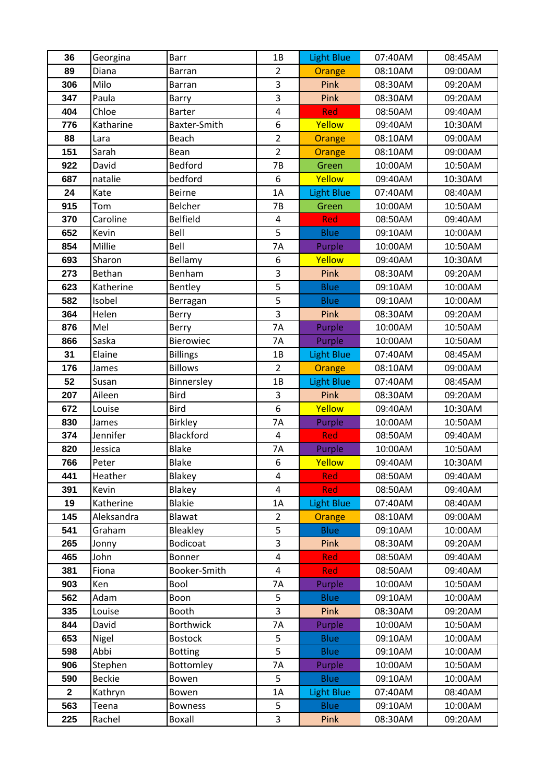| 36           | Georgina      | <b>Barr</b>            | 1B                               | <b>Light Blue</b>        | 07:40AM            | 08:45AM            |
|--------------|---------------|------------------------|----------------------------------|--------------------------|--------------------|--------------------|
| 89           | Diana         | <b>Barran</b>          | $\overline{2}$                   | Orange                   | 08:10AM            | 09:00AM            |
| 306          | Milo          | <b>Barran</b>          | 3                                | Pink                     | 08:30AM            | 09:20AM            |
| 347          | Paula         | Barry                  | 3                                | Pink                     | 08:30AM            | 09:20AM            |
| 404          | Chloe         | <b>Barter</b>          | $\overline{\mathbf{4}}$          | Red                      | 08:50AM            | 09:40AM            |
| 776          | Katharine     | Baxter-Smith           | 6                                | Yellow                   | 09:40AM            | 10:30AM            |
| 88           | Lara          | <b>Beach</b>           | $\overline{2}$                   | Orange                   | 08:10AM            | 09:00AM            |
| 151          | Sarah         | Bean                   | $\overline{2}$                   | Orange                   | 08:10AM            | 09:00AM            |
| 922          | David         | <b>Bedford</b>         | 7B                               | Green                    | 10:00AM            | 10:50AM            |
| 687          | natalie       | bedford                | 6                                | Yellow                   | 09:40AM            | 10:30AM            |
| 24           | Kate          | <b>Beirne</b>          | 1A                               | <b>Light Blue</b>        | 07:40AM            | 08:40AM            |
| 915          | Tom           | Belcher                | 7B                               | Green                    | 10:00AM            | 10:50AM            |
| 370          | Caroline      | <b>Belfield</b>        | $\overline{4}$                   | Red                      | 08:50AM            | 09:40AM            |
| 652          | Kevin         | Bell                   | 5                                | <b>Blue</b>              | 09:10AM            | 10:00AM            |
| 854          | Millie        | Bell                   | 7A                               | Purple                   | 10:00AM            | 10:50AM            |
| 693          | Sharon        | Bellamy                | 6                                | Yellow                   | 09:40AM            | 10:30AM            |
| 273          | Bethan        | Benham                 | 3                                | Pink                     | 08:30AM            | 09:20AM            |
| 623          | Katherine     | Bentley                | 5                                | <b>Blue</b>              | 09:10AM            | 10:00AM            |
| 582          | Isobel        | Berragan               | 5                                | <b>Blue</b>              | 09:10AM            | 10:00AM            |
| 364          | Helen         | Berry                  | 3                                | Pink                     | 08:30AM            | 09:20AM            |
| 876          | Mel           | Berry                  | 7A                               | Purple                   | 10:00AM            | 10:50AM            |
| 866          | Saska         | Bierowiec              | 7Α                               | Purple                   | 10:00AM            | 10:50AM            |
| 31           | Elaine        | <b>Billings</b>        | 1B                               | <b>Light Blue</b>        | 07:40AM            | 08:45AM            |
| 176          | James         | <b>Billows</b>         | $\overline{2}$                   | Orange                   | 08:10AM            | 09:00AM            |
| 52           | Susan         | Binnersley             | 1B                               | <b>Light Blue</b>        | 07:40AM            | 08:45AM            |
| 207          | Aileen        | <b>Bird</b>            | 3                                | Pink                     | 08:30AM            | 09:20AM            |
| 672          | Louise        | <b>Bird</b>            | 6                                | Yellow                   | 09:40AM            | 10:30AM            |
| 830          | James         | <b>Birkley</b>         | 7A                               | Purple                   | 10:00AM            | 10:50AM            |
| 374          | Jennifer      | Blackford              | $\overline{4}$                   | <b>Red</b>               | 08:50AM            | 09:40AM            |
| 820          | Jessica       | <b>Blake</b>           | 7A                               | Purple                   | 10:00AM            | 10:50AM            |
| 766          | Peter         | <b>Blake</b>           | 6                                | Yellow                   | 09:40AM            | 10:30AM            |
| 441          | Heather       | Blakey                 | 4                                | <b>Red</b>               | 08:50AM            | 09:40AM            |
| 391          | Kevin         | Blakey                 | 4                                | <b>Red</b>               | 08:50AM            | 09:40AM            |
| 19           | Katherine     | <b>Blakie</b>          | 1A                               | <b>Light Blue</b>        | 07:40AM            | 08:40AM            |
| 145          | Aleksandra    | Blawat                 | $\overline{2}$<br>$\overline{5}$ | Orange                   | 08:10AM            | 09:00AM            |
| 541          | Graham        | Bleakley               | 3                                | <b>Blue</b>              | 09:10AM            | 10:00AM            |
| 265          | Jonny         | Bodicoat               | 4                                | Pink                     | 08:30AM<br>08:50AM | 09:20AM            |
| 465<br>381   | John<br>Fiona | Bonner<br>Booker-Smith | 4                                | <b>Red</b><br><b>Red</b> | 08:50AM            | 09:40AM<br>09:40AM |
| 903          | Ken           | Bool                   | 7Α                               | Purple                   | 10:00AM            | 10:50AM            |
| 562          | Adam          | Boon                   | 5                                | <b>Blue</b>              | 09:10AM            | 10:00AM            |
| 335          | Louise        | Booth                  | 3                                | Pink                     | 08:30AM            | 09:20AM            |
| 844          | David         | <b>Borthwick</b>       | 7Α                               | Purple                   | 10:00AM            | 10:50AM            |
| 653          | Nigel         | <b>Bostock</b>         | 5                                | <b>Blue</b>              | 09:10AM            | 10:00AM            |
| 598          | Abbi          | <b>Botting</b>         | 5                                | <b>Blue</b>              | 09:10AM            | 10:00AM            |
| 906          | Stephen       | Bottomley              | 7A                               | Purple                   | 10:00AM            | 10:50AM            |
| 590          | <b>Beckie</b> | Bowen                  | 5                                | <b>Blue</b>              | 09:10AM            | 10:00AM            |
| $\mathbf{2}$ | Kathryn       | Bowen                  | 1A                               | <b>Light Blue</b>        | 07:40AM            | 08:40AM            |
| 563          | Teena         | <b>Bowness</b>         | 5                                | <b>Blue</b>              | 09:10AM            | 10:00AM            |
| 225          | Rachel        | Boxall                 | 3                                | Pink                     | 08:30AM            | 09:20AM            |
|              |               |                        |                                  |                          |                    |                    |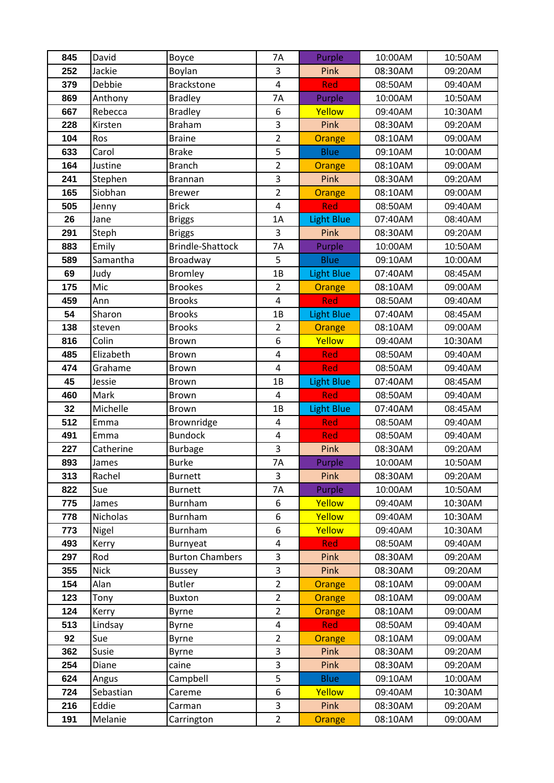| 845        | David        | Boyce                   | <b>7A</b>                    | Purple            | 10:00AM            | 10:50AM            |
|------------|--------------|-------------------------|------------------------------|-------------------|--------------------|--------------------|
| 252        | Jackie       | Boylan                  | 3                            | Pink              | 08:30AM            | 09:20AM            |
| 379        | Debbie       | <b>Brackstone</b>       | $\overline{\mathbf{4}}$      | Red               | 08:50AM            | 09:40AM            |
| 869        | Anthony      | <b>Bradley</b>          | 7A                           | Purple            | 10:00AM            | 10:50AM            |
| 667        | Rebecca      | <b>Bradley</b>          | 6                            | Yellow            | 09:40AM            | 10:30AM            |
| 228        | Kirsten      | <b>Braham</b>           | 3                            | Pink              | 08:30AM            | 09:20AM            |
| 104        | Ros          | <b>Braine</b>           | $\overline{2}$               | Orange            | 08:10AM            | 09:00AM            |
| 633        | Carol        | <b>Brake</b>            | 5                            | <b>Blue</b>       | 09:10AM            | 10:00AM            |
| 164        | Justine      | <b>Branch</b>           | $\overline{2}$               | <b>Orange</b>     | 08:10AM            | 09:00AM            |
| 241        | Stephen      | <b>Brannan</b>          | 3                            | Pink              | 08:30AM            | 09:20AM            |
| 165        | Siobhan      | <b>Brewer</b>           | $\overline{2}$               | Orange            | 08:10AM            | 09:00AM            |
| 505        | Jenny        | <b>Brick</b>            | $\overline{\mathbf{4}}$      | Red               | 08:50AM            | 09:40AM            |
| 26         | Jane         | <b>Briggs</b>           | 1A                           | <b>Light Blue</b> | 07:40AM            | 08:40AM            |
| 291        | Steph        | <b>Briggs</b>           | 3                            | Pink              | 08:30AM            | 09:20AM            |
| 883        | Emily        | <b>Brindle-Shattock</b> | 7A                           | Purple            | 10:00AM            | 10:50AM            |
| 589        | Samantha     | Broadway                | 5                            | <b>Blue</b>       | 09:10AM            | 10:00AM            |
| 69         | Judy         | <b>Bromley</b>          | 1B                           | <b>Light Blue</b> | 07:40AM            | 08:45AM            |
| 175        | Mic          | <b>Brookes</b>          | $\overline{2}$               | Orange            | 08:10AM            | 09:00AM            |
| 459        | Ann          | <b>Brooks</b>           | $\overline{\mathbf{4}}$      | Red               | 08:50AM            | 09:40AM            |
| 54         | Sharon       | <b>Brooks</b>           | 1B                           | <b>Light Blue</b> | 07:40AM            | 08:45AM            |
| 138        | steven       | <b>Brooks</b>           | $\overline{2}$               | Orange            | 08:10AM            | 09:00AM            |
| 816        | Colin        | <b>Brown</b>            | 6                            | Yellow            | 09:40AM            | 10:30AM            |
| 485        | Elizabeth    | <b>Brown</b>            | 4                            | <b>Red</b>        | 08:50AM            | 09:40AM            |
| 474        | Grahame      | Brown                   | $\pmb{4}$                    | <b>Red</b>        | 08:50AM            | 09:40AM            |
| 45         | Jessie       | <b>Brown</b>            | 1B                           | <b>Light Blue</b> | 07:40AM            | 08:45AM            |
| 460        | Mark         | <b>Brown</b>            | 4                            | Red               | 08:50AM            | 09:40AM            |
| 32         | Michelle     | <b>Brown</b>            | 1B                           | <b>Light Blue</b> | 07:40AM            | 08:45AM            |
| 512        | Emma         | Brownridge              | 4                            | <b>Red</b>        | 08:50AM            | 09:40AM            |
| 491        | Emma         | <b>Bundock</b>          | 4                            | <b>Red</b>        | 08:50AM            | 09:40AM            |
| 227        | Catherine    | <b>Burbage</b>          | 3                            | Pink              | 08:30AM            | 09:20AM            |
| 893        | James        | <b>Burke</b>            | 7A                           | Purple            | 10:00AM            | 10:50AM            |
| 313        | Rachel       | <b>Burnett</b>          | 3                            | <b>Pink</b>       | 08:30AM            | 09:20AM            |
| 822        | Sue          | <b>Burnett</b>          | 7Α                           | Purple            | 10:00AM            | 10:50AM            |
| 775        | James        | Burnham                 | 6                            | Yellow            | 09:40AM            | 10:30AM            |
| 778        | Nicholas     | Burnham                 | 6                            | Yellow            | 09:40AM            | 10:30AM            |
| 773<br>493 | Nigel        | Burnham<br>Burnyeat     | 6<br>$\overline{\mathbf{4}}$ | Yellow<br>Red     | 09:40AM<br>08:50AM | 10:30AM<br>09:40AM |
| 297        | Kerry<br>Rod | <b>Burton Chambers</b>  | 3                            | Pink              | 08:30AM            | 09:20AM            |
| 355        | <b>Nick</b>  | <b>Bussey</b>           | 3                            | Pink              | 08:30AM            | 09:20AM            |
| 154        | Alan         | <b>Butler</b>           | $\overline{2}$               | Orange            | 08:10AM            | 09:00AM            |
| 123        | Tony         | <b>Buxton</b>           | $\overline{2}$               | Orange            | 08:10AM            | 09:00AM            |
| 124        | Kerry        | <b>Byrne</b>            | $\overline{2}$               | Orange            | 08:10AM            | 09:00AM            |
| 513        | Lindsay      | Byrne                   | $\overline{\mathbf{4}}$      | Red               | 08:50AM            | 09:40AM            |
| 92         | Sue          | <b>Byrne</b>            | $\overline{2}$               | <b>Orange</b>     | 08:10AM            | 09:00AM            |
| 362        | Susie        | <b>Byrne</b>            | 3                            | Pink              | 08:30AM            | 09:20AM            |
| 254        | Diane        | caine                   | 3                            | <b>Pink</b>       | 08:30AM            | 09:20AM            |
| 624        | Angus        | Campbell                | 5                            | <b>Blue</b>       | 09:10AM            | 10:00AM            |
| 724        | Sebastian    | Careme                  | 6                            | Yellow            | 09:40AM            | 10:30AM            |
| 216        | Eddie        | Carman                  | 3                            | Pink              | 08:30AM            | 09:20AM            |
| 191        | Melanie      | Carrington              | $\overline{2}$               | Orange            | 08:10AM            | 09:00AM            |
|            |              |                         |                              |                   |                    |                    |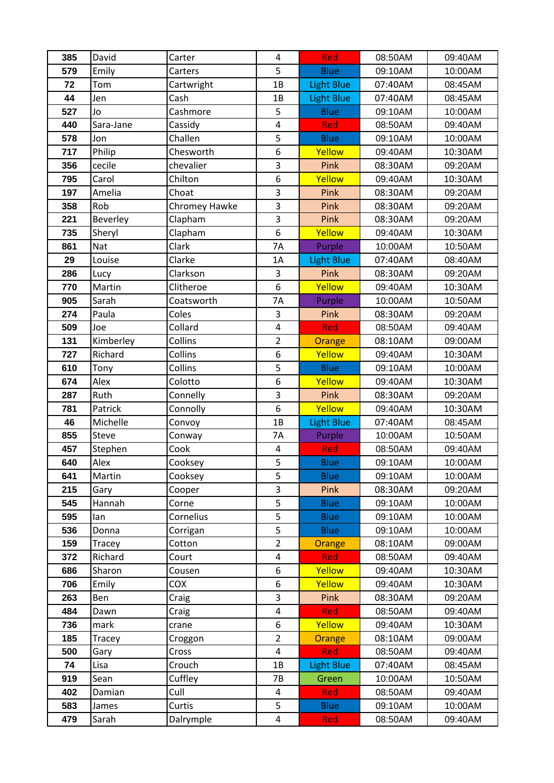| 385        | David        | Carter             | 4                       | Red                        | 08:50AM            | 09:40AM            |
|------------|--------------|--------------------|-------------------------|----------------------------|--------------------|--------------------|
| 579        | Emily        | Carters            | 5                       | <b>Blue</b>                | 09:10AM            | 10:00AM            |
| 72         | Tom          | Cartwright         | 1B                      | <b>Light Blue</b>          | 07:40AM            | 08:45AM            |
| 44         | Jen          | Cash               | 1B                      | <b>Light Blue</b>          | 07:40AM            | 08:45AM            |
| 527        | Jo           | Cashmore           | 5                       | <b>Blue</b>                | 09:10AM            | 10:00AM            |
| 440        | Sara-Jane    | Cassidy            | $\overline{\mathbf{4}}$ | Red                        | 08:50AM            | 09:40AM            |
| 578        | Jon          | Challen            | 5                       | <b>Blue</b>                | 09:10AM            | 10:00AM            |
| 717        | Philip       | Chesworth          | 6                       | Yellow                     | 09:40AM            | 10:30AM            |
| 356        | cecile       | chevalier          | 3                       | Pink                       | 08:30AM            | 09:20AM            |
| 795        | Carol        | Chilton            | 6                       | Yellow                     | 09:40AM            | 10:30AM            |
| 197        | Amelia       | Choat              | 3                       | Pink                       | 08:30AM            | 09:20AM            |
| 358        | Rob          | Chromey Hawke      | 3                       | Pink                       | 08:30AM            | 09:20AM            |
| 221        | Beverley     | Clapham            | 3                       | Pink                       | 08:30AM            | 09:20AM            |
| 735        | Sheryl       | Clapham            | 6                       | Yellow                     | 09:40AM            | 10:30AM            |
| 861        | <b>Nat</b>   | Clark              | 7A                      | Purple                     | 10:00AM            | 10:50AM            |
| 29         | Louise       | Clarke             | 1A                      | <b>Light Blue</b>          | 07:40AM            | 08:40AM            |
| 286        | Lucy         | Clarkson           | 3                       | Pink                       | 08:30AM            | 09:20AM            |
| 770        | Martin       | Clitheroe          | 6                       | Yellow                     | 09:40AM            | 10:30AM            |
| 905        | Sarah        | Coatsworth         | 7A                      | Purple                     | 10:00AM            | 10:50AM            |
| 274        | Paula        | Coles              | 3                       | Pink                       | 08:30AM            | 09:20AM            |
| 509        | Joe          | Collard            | $\overline{4}$          | Red                        | 08:50AM            | 09:40AM            |
| 131        | Kimberley    | Collins            | $\overline{2}$          | Orange                     | 08:10AM            | 09:00AM            |
| 727        | Richard      | Collins            | 6                       | Yellow                     | 09:40AM            | 10:30AM            |
| 610        | Tony         | Collins            | 5                       | <b>Blue</b>                | 09:10AM            | 10:00AM            |
| 674        | Alex         | Colotto            | 6                       | Yellow                     | 09:40AM            | 10:30AM            |
| 287        | Ruth         | Connelly           | 3                       | <b>Pink</b>                | 08:30AM            | 09:20AM            |
| 781        | Patrick      | Connolly           | 6                       | Yellow                     | 09:40AM            | 10:30AM            |
| 46         | Michelle     | Convoy             | 1B                      | Light Blue                 | 07:40AM            | 08:45AM            |
| 855        | Steve        | Conway             | 7A                      | Purple                     | 10:00AM            | 10:50AM            |
| 457        | Stephen      | Cook               | $\overline{\mathbf{4}}$ | Red                        | 08:50AM            | 09:40AM            |
| 640        | Alex         | Cooksey            | 5                       | <b>Blue</b>                | 09:10AM            | 10:00AM            |
| 641        | Martin       | Cooksey            | 5                       | <b>Blue</b>                | 09:10AM            | 10:00AM            |
| 215        | Gary         | Cooper             | 3                       | Pink                       | 08:30AM            | 09:20AM            |
| 545        | Hannah       | Corne              | 5<br>5                  | <b>Blue</b>                | 09:10AM            | 10:00AM<br>10:00AM |
| 595<br>536 | lan<br>Donna | Cornelius          | 5                       | <b>Blue</b><br><b>Blue</b> | 09:10AM<br>09:10AM | 10:00AM            |
| 159        | Tracey       | Corrigan<br>Cotton | $\overline{2}$          | Orange                     | 08:10AM            | 09:00AM            |
| 372        | Richard      | Court              | $\overline{\mathbf{4}}$ | <b>Red</b>                 | 08:50AM            | 09:40AM            |
| 686        | Sharon       | Cousen             | 6                       | Yellow                     | 09:40AM            | 10:30AM            |
| 706        | Emily        | <b>COX</b>         | 6                       | Yellow                     | 09:40AM            | 10:30AM            |
| 263        | Ben          | Craig              | 3                       | Pink                       | 08:30AM            | 09:20AM            |
| 484        | Dawn         | Craig              | 4                       | <b>Red</b>                 | 08:50AM            | 09:40AM            |
| 736        | mark         | crane              | 6                       | Yellow                     | 09:40AM            | 10:30AM            |
| 185        | Tracey       | Croggon            | $\overline{2}$          | Orange                     | 08:10AM            | 09:00AM            |
| 500        | Gary         | Cross              | $\overline{\mathbf{4}}$ | <b>Red</b>                 | 08:50AM            | 09:40AM            |
| 74         | Lisa         | Crouch             | 1B                      | <b>Light Blue</b>          | 07:40AM            | 08:45AM            |
| 919        | Sean         | Cuffley            | 7B                      | Green                      | 10:00AM            | 10:50AM            |
| 402        | Damian       | Cull               | 4                       | <b>Red</b>                 | 08:50AM            | 09:40AM            |
| 583        | James        | Curtis             | 5                       | <b>Blue</b>                | 09:10AM            | 10:00AM            |
| 479        | Sarah        | Dalrymple          | 4                       | Red                        | 08:50AM            | 09:40AM            |
|            |              |                    |                         |                            |                    |                    |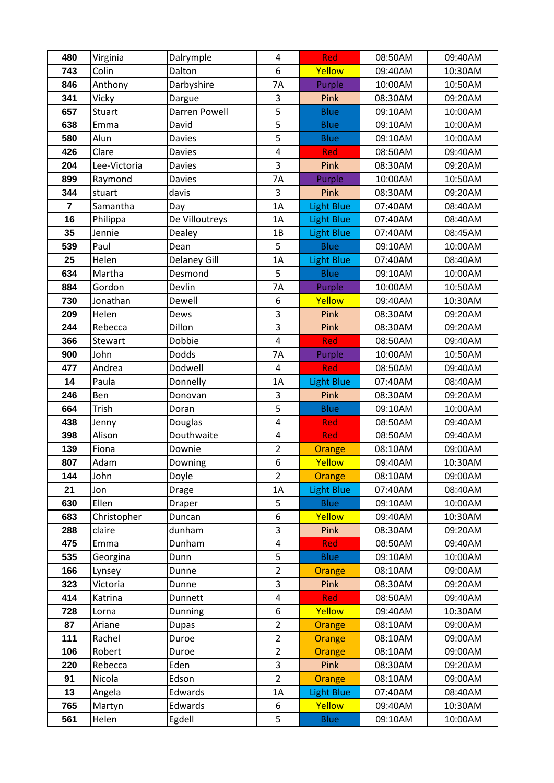| 480        | Virginia           | Dalrymple           | 4                       | Red               | 08:50AM            | 09:40AM            |
|------------|--------------------|---------------------|-------------------------|-------------------|--------------------|--------------------|
| 743        | Colin              | Dalton              | 6                       | Yellow            | 09:40AM            | 10:30AM            |
| 846        | Anthony            | Darbyshire          | 7A                      | Purple            | 10:00AM            | 10:50AM            |
| 341        | Vicky              | Dargue              | 3                       | Pink              | 08:30AM            | 09:20AM            |
| 657        | <b>Stuart</b>      | Darren Powell       | $\overline{5}$          | <b>Blue</b>       | 09:10AM            | 10:00AM            |
| 638        | Emma               | David               | 5                       | <b>Blue</b>       | 09:10AM            | 10:00AM            |
| 580        | Alun               | <b>Davies</b>       | 5                       | <b>Blue</b>       | 09:10AM            | 10:00AM            |
| 426        | Clare              | <b>Davies</b>       | $\overline{\mathbf{4}}$ | <b>Red</b>        | 08:50AM            | 09:40AM            |
| 204        | Lee-Victoria       | <b>Davies</b>       | 3                       | Pink              | 08:30AM            | 09:20AM            |
| 899        | Raymond            | Davies              | 7A                      | Purple            | 10:00AM            | 10:50AM            |
| 344        | stuart             | davis               | 3                       | Pink              | 08:30AM            | 09:20AM            |
| 7          | Samantha           | Day                 | 1A                      | <b>Light Blue</b> | 07:40AM            | 08:40AM            |
| 16         | Philippa           | De Villoutreys      | 1A                      | <b>Light Blue</b> | 07:40AM            | 08:40AM            |
| 35         | Jennie             | Dealey              | 1B                      | <b>Light Blue</b> | 07:40AM            | 08:45AM            |
| 539        | Paul               | Dean                | 5                       | <b>Blue</b>       | 09:10AM            | 10:00AM            |
| 25         | Helen              | <b>Delaney Gill</b> | 1A                      | <b>Light Blue</b> | 07:40AM            | 08:40AM            |
| 634        | Martha             | Desmond             | 5                       | <b>Blue</b>       | 09:10AM            | 10:00AM            |
| 884        | Gordon             | Devlin              | <b>7A</b>               | Purple            | 10:00AM            | 10:50AM            |
| 730        | Jonathan           | Dewell              | 6                       | Yellow            | 09:40AM            | 10:30AM            |
| 209        | Helen              | Dews                | 3                       | Pink              | 08:30AM            | 09:20AM            |
| 244        | Rebecca            | Dillon              | $\overline{3}$          | Pink              | 08:30AM            | 09:20AM            |
| 366        | Stewart            | Dobbie              | $\overline{4}$          | Red               | 08:50AM            | 09:40AM            |
| 900        | John               | Dodds               | <b>7A</b>               | Purple            | 10:00AM            | 10:50AM            |
| 477        | Andrea             | Dodwell             | $\overline{\mathbf{4}}$ | <b>Red</b>        | 08:50AM            | 09:40AM            |
| 14         | Paula              | Donnelly            | 1A                      | <b>Light Blue</b> | 07:40AM            | 08:40AM            |
| 246        | Ben                | Donovan             | 3                       | Pink              | 08:30AM            | 09:20AM            |
| 664        | Trish              | Doran               | 5                       | <b>Blue</b>       | 09:10AM            | 10:00AM            |
| 438        | Jenny              | Douglas             | 4                       | Red               | 08:50AM            | 09:40AM            |
| 398        | Alison             | Douthwaite          | $\pmb{4}$               | <b>Red</b>        | 08:50AM            | 09:40AM            |
| 139        | Fiona              | Downie              | $\overline{2}$          | Orange            | 08:10AM            | 09:00AM            |
| 807        | Adam               | Downing             | 6                       | Yellow            | 09:40AM            | 10:30AM            |
| 144        | John               | Doyle               | $\overline{2}$          | <b>Orange</b>     | 08:10AM            | 09:00AM            |
| 21         | Jon                | <b>Drage</b>        | 1A                      | <b>Light Blue</b> | 07:40AM            | 08:40AM            |
| 630        | Ellen              | Draper              | 5                       | <b>Blue</b>       | 09:10AM            | 10:00AM            |
| 683        | Christopher        | Duncan              | 6                       | Yellow            | 09:40AM            | 10:30AM            |
| 288        | claire             | dunham              | 3                       | Pink              | 08:30AM            | 09:20AM            |
| 475        | Emma               | Dunham              | 4<br>5                  | Red               | 08:50AM            | 09:40AM            |
| 535        | Georgina           | Dunn                |                         | <b>Blue</b>       | 09:10AM<br>08:10AM | 10:00AM<br>09:00AM |
| 166<br>323 | Lynsey<br>Victoria | Dunne<br>Dunne      | $\overline{2}$<br>3     | Orange<br>Pink    | 08:30AM            | 09:20AM            |
| 414        | Katrina            | Dunnett             | 4                       | <b>Red</b>        | 08:50AM            | 09:40AM            |
| 728        | Lorna              | Dunning             | 6                       | Yellow            | 09:40AM            | 10:30AM            |
| 87         | Ariane             | <b>Dupas</b>        | $\overline{2}$          |                   | 08:10AM            | 09:00AM            |
| 111        | Rachel             | Duroe               | $\overline{2}$          | Orange<br>Orange  | 08:10AM            | 09:00AM            |
| 106        | Robert             | Duroe               | $\overline{2}$          | Orange            | 08:10AM            | 09:00AM            |
| 220        | Rebecca            | Eden                | 3                       | Pink              | 08:30AM            | 09:20AM            |
| 91         | Nicola             | Edson               | $\overline{2}$          | Orange            | 08:10AM            | 09:00AM            |
| 13         | Angela             | Edwards             | 1A                      | Light Blue        | 07:40AM            | 08:40AM            |
| 765        | Martyn             | Edwards             | 6                       | Yellow            | 09:40AM            | 10:30AM            |
| 561        | Helen              | Egdell              | 5                       | <b>Blue</b>       | 09:10AM            | 10:00AM            |
|            |                    |                     |                         |                   |                    |                    |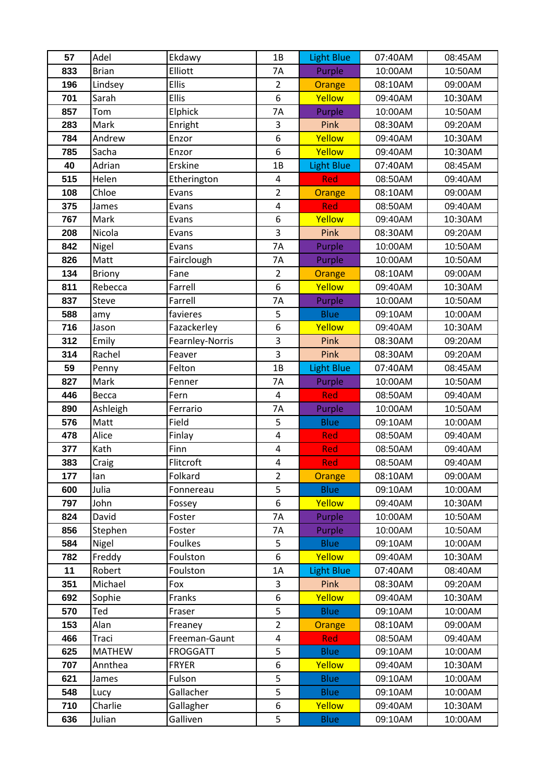| 57         | Adel          | Ekdawy            | 1B                      | <b>Light Blue</b>         | 07:40AM            | 08:45AM            |
|------------|---------------|-------------------|-------------------------|---------------------------|--------------------|--------------------|
| 833        | <b>Brian</b>  | Elliott           | <b>7A</b>               | Purple                    | 10:00AM            | 10:50AM            |
| 196        | Lindsey       | Ellis             | $\overline{2}$          | Orange                    | 08:10AM            | 09:00AM            |
| 701        | Sarah         | Ellis             | 6                       | Yellow                    | 09:40AM            | 10:30AM            |
| 857        | Tom           | Elphick           | <b>7A</b>               | Purple                    | 10:00AM            | 10:50AM            |
| 283        | Mark          | Enright           | 3                       | Pink                      | 08:30AM            | 09:20AM            |
| 784        | Andrew        | Enzor             | 6                       | Yellow                    | 09:40AM            | 10:30AM            |
| 785        | Sacha         | Enzor             | 6                       | Yellow                    | 09:40AM            | 10:30AM            |
| 40         | Adrian        | Erskine           | 1B                      | <b>Light Blue</b>         | 07:40AM            | 08:45AM            |
| 515        | Helen         | Etherington       | 4                       | <b>Red</b>                | 08:50AM            | 09:40AM            |
| 108        | Chloe         | Evans             | $\overline{2}$          | Orange                    | 08:10AM            | 09:00AM            |
| 375        | James         | Evans             | $\overline{\mathbf{4}}$ | Red                       | 08:50AM            | 09:40AM            |
| 767        | Mark          | Evans             | 6                       | Yellow                    | 09:40AM            | 10:30AM            |
| 208        | Nicola        | Evans             | 3                       | Pink                      | 08:30AM            | 09:20AM            |
| 842        | Nigel         | Evans             | 7A                      | Purple                    | 10:00AM            | 10:50AM            |
| 826        | Matt          | Fairclough        | 7A                      | Purple                    | 10:00AM            | 10:50AM            |
| 134        | <b>Briony</b> | Fane              | $\overline{2}$          | Orange                    | 08:10AM            | 09:00AM            |
| 811        | Rebecca       | Farrell           | 6                       | Yellow                    | 09:40AM            | 10:30AM            |
| 837        | Steve         | Farrell           | 7A                      | Purple                    | 10:00AM            | 10:50AM            |
| 588        | amy           | favieres          | 5                       | <b>Blue</b>               | 09:10AM            | 10:00AM            |
| 716        | Jason         | Fazackerley       | 6                       | Yellow                    | 09:40AM            | 10:30AM            |
| 312        | Emily         | Fearnley-Norris   | $\overline{3}$          | Pink                      | 08:30AM            | 09:20AM            |
| 314        | Rachel        | Feaver            | 3                       | Pink                      | 08:30AM            | 09:20AM            |
| 59         | Penny         | Felton            | 1B                      | <b>Light Blue</b>         | 07:40AM            | 08:45AM            |
| 827        | Mark          | Fenner            | 7A                      | Purple                    | 10:00AM            | 10:50AM            |
| 446        | Becca         | Fern              | 4                       | <b>Red</b>                | 08:50AM            | 09:40AM            |
| 890        | Ashleigh      | Ferrario<br>Field | 7A                      | Purple                    | 10:00AM            | 10:50AM            |
| 576<br>478 | Matt<br>Alice | Finlay            | 5<br>4                  | <b>Blue</b><br><b>Red</b> | 09:10AM<br>08:50AM | 10:00AM<br>09:40AM |
| 377        | Kath          | Finn              | $\overline{\mathbf{4}}$ | <b>Red</b>                | 08:50AM            | 09:40AM            |
| 383        | Craig         | Flitcroft         | $\overline{\mathbf{4}}$ | Red                       | 08:50AM            | 09:40AM            |
| 177        | lan           | Folkard           | $\overline{2}$          | Orange                    | 08:10AM            | 09:00AM            |
| 600        | Julia         | Fonnereau         | 5                       | <b>Blue</b>               | 09:10AM            | 10:00AM            |
| 797        | John          | Fossey            | 6                       | Yellow                    | 09:40AM            | 10:30AM            |
| 824        | David         | Foster            | 7A                      | Purple                    | 10:00AM            | 10:50AM            |
| 856        | Stephen       | Foster            | 7Α                      | Purple                    | 10:00AM            | 10:50AM            |
| 584        | Nigel         | Foulkes           | 5                       | <b>Blue</b>               | 09:10AM            | 10:00AM            |
| 782        | Freddy        | Foulston          | 6                       | Yellow                    | 09:40AM            | 10:30AM            |
| 11         | Robert        | Foulston          | 1A                      | <b>Light Blue</b>         | 07:40AM            | 08:40AM            |
| 351        | Michael       | Fox               | 3                       | <b>Pink</b>               | 08:30AM            | 09:20AM            |
| 692        | Sophie        | Franks            | 6                       | Yellow                    | 09:40AM            | 10:30AM            |
| 570        | Ted           | Fraser            | 5                       | <b>Blue</b>               | 09:10AM            | 10:00AM            |
| 153        | Alan          | Freaney           | $\overline{2}$          | Orange                    | 08:10AM            | 09:00AM            |
| 466        | Traci         | Freeman-Gaunt     | $\overline{\mathbf{4}}$ | Red                       | 08:50AM            | 09:40AM            |
| 625        | <b>MATHEW</b> | <b>FROGGATT</b>   | 5                       | <b>Blue</b>               | 09:10AM            | 10:00AM            |
| 707        | Annthea       | <b>FRYER</b>      | 6                       | Yellow                    | 09:40AM            | 10:30AM            |
| 621        | James         | Fulson            | 5                       | <b>Blue</b>               | 09:10AM            | 10:00AM            |
| 548        | Lucy          | Gallacher         | 5                       | <b>Blue</b>               | 09:10AM            | 10:00AM            |
| 710        | Charlie       | Gallagher         | 6                       | Yellow                    | 09:40AM            | 10:30AM            |
| 636        | Julian        | Galliven          | 5                       | <b>Blue</b>               | 09:10AM            | 10:00AM            |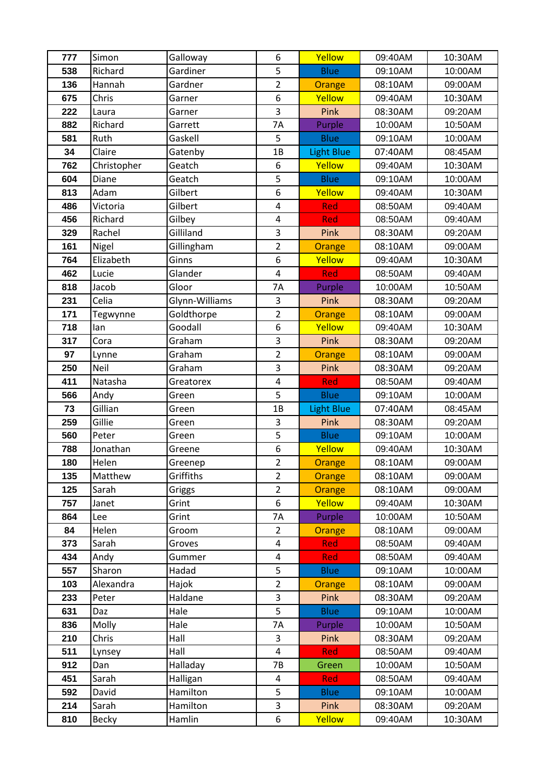| 777        | Simon          | Galloway           | 6                       | Yellow            | 09:40AM            | 10:30AM            |
|------------|----------------|--------------------|-------------------------|-------------------|--------------------|--------------------|
| 538        | Richard        | Gardiner           | 5                       | <b>Blue</b>       | 09:10AM            | 10:00AM            |
| 136        | Hannah         | Gardner            | $\overline{2}$          | Orange            | 08:10AM            | 09:00AM            |
| 675        | Chris          | Garner             | 6                       | Yellow            | 09:40AM            | 10:30AM            |
| 222        | Laura          | Garner             | $\overline{3}$          | Pink              | 08:30AM            | 09:20AM            |
| 882        | Richard        | Garrett            | <b>7A</b>               | Purple            | 10:00AM            | 10:50AM            |
| 581        | Ruth           | Gaskell            | 5                       | <b>Blue</b>       | 09:10AM            | 10:00AM            |
| 34         | Claire         | Gatenby            | 1B                      | <b>Light Blue</b> | 07:40AM            | 08:45AM            |
| 762        | Christopher    | Geatch             | 6                       | Yellow            | 09:40AM            | 10:30AM            |
| 604        | Diane          | Geatch             | 5                       | <b>Blue</b>       | 09:10AM            | 10:00AM            |
| 813        | Adam           | Gilbert            | 6                       | Yellow            | 09:40AM            | 10:30AM            |
| 486        | Victoria       | Gilbert            | $\pmb{4}$               | Red               | 08:50AM            | 09:40AM            |
| 456        | Richard        | Gilbey             | $\overline{\mathbf{4}}$ | Red               | 08:50AM            | 09:40AM            |
| 329        | Rachel         | Gilliland          | 3                       | Pink              | 08:30AM            | 09:20AM            |
| 161        | Nigel          | Gillingham         | $\overline{2}$          | Orange            | 08:10AM            | 09:00AM            |
| 764        | Elizabeth      | Ginns              | 6                       | Yellow            | 09:40AM            | 10:30AM            |
| 462        | Lucie          | Glander            | $\overline{4}$          | Red               | 08:50AM            | 09:40AM            |
| 818        | Jacob          | Gloor              | <b>7A</b>               | Purple            | 10:00AM            | 10:50AM            |
| 231        | Celia          | Glynn-Williams     | 3                       | Pink              | 08:30AM            | 09:20AM            |
| 171        | Tegwynne       | Goldthorpe         | $\overline{2}$          | Orange            | 08:10AM            | 09:00AM            |
| 718        | lan            | Goodall            | 6                       | Yellow            | 09:40AM            | 10:30AM            |
| 317        | Cora           | Graham             | $\overline{3}$          | Pink              | 08:30AM            | 09:20AM            |
| 97         | Lynne          | Graham             | $\overline{2}$          | <b>Orange</b>     | 08:10AM            | 09:00AM            |
| 250        | Neil           | Graham             | 3                       | Pink              | 08:30AM            | 09:20AM            |
| 411        | Natasha        | Greatorex          | $\overline{\mathbf{4}}$ | Red               | 08:50AM            | 09:40AM            |
|            |                |                    |                         |                   |                    |                    |
| 566        | Andy           | Green              | 5                       | <b>Blue</b>       | 09:10AM            | 10:00AM            |
| 73         | Gillian        | Green              | 1B                      | <b>Light Blue</b> | 07:40AM            | 08:45AM            |
| 259        | Gillie         | Green              | 3                       | Pink              | 08:30AM            | 09:20AM            |
| 560        | Peter          | Green              | 5                       | <b>Blue</b>       | 09:10AM            | 10:00AM            |
| 788        | Jonathan       | Greene             | 6                       | Yellow            | 09:40AM            | 10:30AM            |
| 180        | Helen          | Greenep            | $\overline{\mathbf{c}}$ | Orange            | 08:10AM            | 09:00AM            |
| 135        | Matthew        | Griffiths          | $\overline{2}$          | Orange            | 08:10AM            | 09:00AM            |
| 125        | Sarah          | Griggs             | $\overline{2}$          | Orange            | 08:10AM            | 09:00AM            |
| 757        | Janet          | Grint              | 6                       | Yellow            | 09:40AM            | 10:30AM            |
| 864        | Lee            | Grint              | 7A                      | Purple            | 10:00AM            | 10:50AM            |
| 84         | Helen          | Groom              | 2                       | Orange            | 08:10AM            | 09:00AM            |
| 373        | Sarah          | Groves             | 4                       | <b>Red</b>        | 08:50AM            | 09:40AM            |
| 434        | Andy           | Gummer             | $\overline{\mathbf{4}}$ | Red               | 08:50AM            | 09:40AM            |
| 557        | Sharon         | Hadad              | 5                       | <b>Blue</b>       | 09:10AM            | 10:00AM            |
| 103        | Alexandra      | Hajok              | $\overline{2}$          | Orange            | 08:10AM            | 09:00AM            |
| 233        | Peter          | Haldane            | 3                       | Pink              | 08:30AM            | 09:20AM            |
| 631        | Daz            | Hale               | 5                       | <b>Blue</b>       | 09:10AM            | 10:00AM            |
| 836        | Molly          | Hale               | 7A                      | Purple            | 10:00AM            | 10:50AM            |
| 210        | Chris          | Hall               | 3                       | Pink              | 08:30AM            | 09:20AM            |
| 511        | Lynsey         | Hall               | $\overline{\mathbf{4}}$ | <b>Red</b>        | 08:50AM            | 09:40AM            |
| 912        | Dan            | Halladay           | 7B                      | Green             | 10:00AM            | 10:50AM            |
| 451        | Sarah          | Halligan           | 4                       | <b>Red</b>        | 08:50AM            | 09:40AM            |
| 592        | David          | Hamilton           | 5                       | <b>Blue</b>       | 09:10AM            | 10:00AM            |
| 214<br>810 | Sarah<br>Becky | Hamilton<br>Hamlin | 3<br>6                  | Pink<br>Yellow    | 08:30AM<br>09:40AM | 09:20AM<br>10:30AM |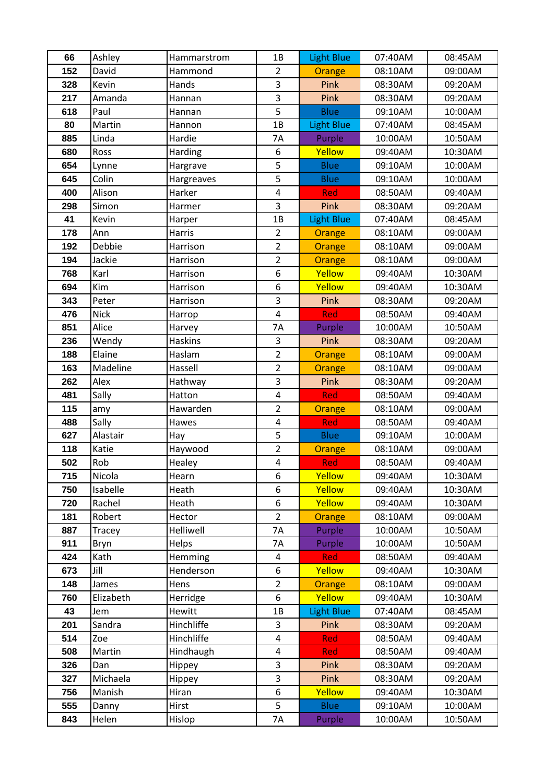| 66         | Ashley         | Hammarstrom | 1B                      | <b>Light Blue</b> | 07:40AM | 08:45AM |
|------------|----------------|-------------|-------------------------|-------------------|---------|---------|
| 152        | David          | Hammond     | $\overline{2}$          | Orange            | 08:10AM | 09:00AM |
| 328        | Kevin          | Hands       | 3                       | Pink              | 08:30AM | 09:20AM |
| 217        | Amanda         | Hannan      | 3                       | Pink              | 08:30AM | 09:20AM |
| 618        | Paul           | Hannan      | 5                       | <b>Blue</b>       | 09:10AM | 10:00AM |
| 80         | Martin         | Hannon      | 1B                      | <b>Light Blue</b> | 07:40AM | 08:45AM |
| 885        | Linda          | Hardie      | 7A                      | Purple            | 10:00AM | 10:50AM |
| 680        | Ross           | Harding     | 6                       | Yellow            | 09:40AM | 10:30AM |
| 654        | Lynne          | Hargrave    | 5                       | <b>Blue</b>       | 09:10AM | 10:00AM |
| 645        | Colin          | Hargreaves  | 5                       | <b>Blue</b>       | 09:10AM | 10:00AM |
| 400        | Alison         | Harker      | $\overline{\mathbf{4}}$ | Red               | 08:50AM | 09:40AM |
| 298        | Simon          | Harmer      | 3                       | Pink              | 08:30AM | 09:20AM |
| 41         | Kevin          | Harper      | 1B                      | <b>Light Blue</b> | 07:40AM | 08:45AM |
| 178        | Ann            | Harris      | $\overline{2}$          | Orange            | 08:10AM | 09:00AM |
| 192        | Debbie         | Harrison    | $\overline{2}$          | Orange            | 08:10AM | 09:00AM |
| 194        | Jackie         | Harrison    | $\overline{2}$          | Orange            | 08:10AM | 09:00AM |
| 768        | Karl           | Harrison    | $\overline{6}$          | Yellow            | 09:40AM | 10:30AM |
| 694        | Kim            | Harrison    | 6                       | Yellow            | 09:40AM | 10:30AM |
| 343        | Peter          | Harrison    | 3                       | Pink              | 08:30AM | 09:20AM |
| 476        | <b>Nick</b>    | Harrop      | $\overline{\mathbf{4}}$ | Red               | 08:50AM | 09:40AM |
| 851        | Alice          | Harvey      | 7A                      | Purple            | 10:00AM | 10:50AM |
| 236        | Wendy          | Haskins     | 3                       | Pink              | 08:30AM | 09:20AM |
| 188        | Elaine         | Haslam      | $\overline{2}$          | Orange            | 08:10AM | 09:00AM |
| 163        | Madeline       | Hassell     | $\overline{2}$          | Orange            | 08:10AM | 09:00AM |
| 262        | Alex           | Hathway     | 3                       | Pink              | 08:30AM | 09:20AM |
| 481        | Sally          | Hatton      | $\overline{\mathbf{4}}$ | Red               | 08:50AM | 09:40AM |
| 115        | amy            | Hawarden    | $\overline{2}$          | Orange            | 08:10AM | 09:00AM |
| 488        | Sally          | Hawes       | $\pmb{4}$               | <b>Red</b>        | 08:50AM | 09:40AM |
| 627        | Alastair       | Hay         | 5                       | <b>Blue</b>       | 09:10AM | 10:00AM |
| 118        | Katie          | Haywood     | $\overline{2}$          | Orange            | 08:10AM | 09:00AM |
| 502        | Rob            | Healey      | $\overline{\mathbf{4}}$ | Red               | 08:50AM | 09:40AM |
| 715        | Nicola         | Hearn       | 6                       | Yellow            | 09:40AM | 10:30AM |
| 750        | Isabelle       | Heath       | 6                       | Yellow            | 09:40AM | 10:30AM |
| 720        | Rachel         | Heath       | 6                       | Yellow            | 09:40AM | 10:30AM |
| 181        | Robert         | Hector      | $\overline{2}$          | Orange            | 08:10AM | 09:00AM |
| 887        | Tracey         | Helliwell   | 7A                      | Purple            | 10:00AM | 10:50AM |
| 911        | Bryn           | Helps       | <b>7A</b>               | Purple            | 10:00AM | 10:50AM |
| 424        | Kath           | Hemming     | 4                       | <b>Red</b>        | 08:50AM | 09:40AM |
| 673        | Jill           | Henderson   | 6                       | Yellow            | 09:40AM | 10:30AM |
| 148        | James          | Hens        | $\overline{2}$          | Orange            | 08:10AM | 09:00AM |
| 760        | Elizabeth      | Herridge    | 6                       | Yellow            | 09:40AM | 10:30AM |
| 43         | Jem            | Hewitt      | 1B                      | <b>Light Blue</b> | 07:40AM | 08:45AM |
| 201        | Sandra         | Hinchliffe  | 3                       | Pink              | 08:30AM | 09:20AM |
| 514        | Zoe            | Hinchliffe  | $\overline{\mathbf{4}}$ | <b>Red</b>        | 08:50AM | 09:40AM |
| 508        | Martin         | Hindhaugh   | $\overline{\mathbf{4}}$ | <b>Red</b>        | 08:50AM | 09:40AM |
| 326        | Dan            | Hippey      | 3                       | Pink              | 08:30AM | 09:20AM |
| 327        | Michaela       | Hippey      | 3                       | Pink              | 08:30AM | 09:20AM |
| 756        | Manish         | Hiran       | 6                       | Yellow            | 09:40AM | 10:30AM |
| 555<br>843 | Danny<br>Helen | Hirst       | 5                       | <b>Blue</b>       | 09:10AM | 10:00AM |
|            |                | Hislop      | 7A                      | Purple            | 10:00AM | 10:50AM |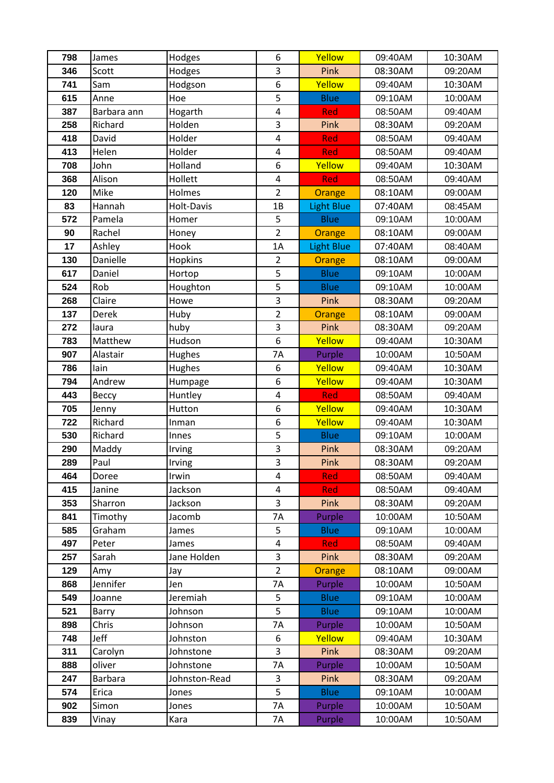| 798        | James           | Hodges        | 6                           | Yellow                     | 09:40AM            | 10:30AM            |
|------------|-----------------|---------------|-----------------------------|----------------------------|--------------------|--------------------|
| 346        | Scott           | Hodges        | 3                           | Pink                       | 08:30AM            | 09:20AM            |
| 741        | Sam             | Hodgson       | 6                           | Yellow                     | 09:40AM            | 10:30AM            |
| 615        | Anne            | Hoe           | 5                           | <b>Blue</b>                | 09:10AM            | 10:00AM            |
| 387        | Barbara ann     | Hogarth       | $\overline{4}$              | Red                        | 08:50AM            | 09:40AM            |
| 258        | Richard         | Holden        | 3                           | Pink                       | 08:30AM            | 09:20AM            |
| 418        | David           | Holder        | $\overline{\mathbf{4}}$     | Red                        | 08:50AM            | 09:40AM            |
| 413        | Helen           | Holder        | $\overline{\mathbf{4}}$     | Red                        | 08:50AM            | 09:40AM            |
| 708        | John            | Holland       | 6                           | Yellow                     | 09:40AM            | 10:30AM            |
| 368        | Alison          | Hollett       | $\pmb{4}$                   | <b>Red</b>                 | 08:50AM            | 09:40AM            |
| 120        | Mike            | Holmes        | $\overline{2}$              | Orange                     | 08:10AM            | 09:00AM            |
| 83         | Hannah          | Holt-Davis    | 1B                          | <b>Light Blue</b>          | 07:40AM            | 08:45AM            |
| 572        | Pamela          | Homer         | 5                           | <b>Blue</b>                | 09:10AM            | 10:00AM            |
| 90         | Rachel          | Honey         | $\overline{2}$              | Orange                     | 08:10AM            | 09:00AM            |
| 17         | Ashley          | Hook          | 1A                          | Light Blue                 | 07:40AM            | 08:40AM            |
| 130        | Danielle        | Hopkins       | $\overline{2}$              | <b>Orange</b>              | 08:10AM            | 09:00AM            |
| 617        | Daniel          | Hortop        | 5                           | <b>Blue</b>                | 09:10AM            | 10:00AM            |
| 524        | Rob             | Houghton      | 5                           | <b>Blue</b>                | 09:10AM            | 10:00AM            |
| 268        | Claire          | Howe          | 3                           | Pink                       | 08:30AM            | 09:20AM            |
| 137        | Derek           | Huby          | $\overline{2}$              | Orange                     | 08:10AM            | 09:00AM            |
| 272        | laura           | huby          | 3                           | Pink                       | 08:30AM            | 09:20AM            |
| 783        | Matthew         | Hudson        | 6                           | Yellow                     | 09:40AM            | 10:30AM            |
| 907        | Alastair        | <b>Hughes</b> | <b>7A</b>                   | Purple                     | 10:00AM            | 10:50AM            |
| 786        | lain            | Hughes        | 6                           | Yellow                     | 09:40AM            | 10:30AM            |
| 794        | Andrew          | Humpage       | 6                           | Yellow                     | 09:40AM            | 10:30AM            |
| 443        | Вессу           | Huntley       | 4                           | Red                        | 08:50AM            | 09:40AM            |
| 705        | Jenny           | Hutton        | 6                           | Yellow                     | 09:40AM            | 10:30AM            |
| 722        | Richard         | Inman         | 6                           | Yellow                     | 09:40AM            | 10:30AM            |
| 530        | Richard         | Innes         | 5                           | <b>Blue</b>                | 09:10AM            | 10:00AM            |
| 290        | Maddy           | Irving        | 3                           | Pink                       | 08:30AM            | 09:20AM            |
| 289        | Paul            | Irving        | 3                           | Pink                       | 08:30AM            | 09:20AM            |
| 464        | Doree           | Irwin         | 4                           | <b>Red</b>                 | 08:50AM            | 09:40AM            |
| 415        | Janine          | Jackson       | 4                           | Red                        | 08:50AM            | 09:40AM            |
| 353        | Sharron         | Jackson       | 3                           | Pink                       | 08:30AM            | 09:20AM            |
| 841        | Timothy         | Jacomb        | 7A                          | Purple                     | 10:00AM            | 10:50AM            |
| 585        | Graham          | James         | 5                           | <b>Blue</b>                | 09:10AM            | 10:00AM            |
| 497        | Peter           | James         | 4<br>3                      | <b>Red</b>                 | 08:50AM            | 09:40AM            |
| 257        | Sarah           | Jane Holden   |                             | Pink                       | 08:30AM            | 09:20AM            |
| 129        | Amy<br>Jennifer | Jay<br>Jen    | $\overline{2}$<br><b>7A</b> | Orange<br>Purple           | 08:10AM<br>10:00AM | 09:00AM<br>10:50AM |
| 868        |                 | Jeremiah      |                             |                            |                    |                    |
| 549        | Joanne          | Johnson       | 5<br>5                      | <b>Blue</b><br><b>Blue</b> | 09:10AM<br>09:10AM | 10:00AM<br>10:00AM |
| 521<br>898 | Barry<br>Chris  | Johnson       | 7A                          | Purple                     | 10:00AM            | 10:50AM            |
| 748        | Jeff            | Johnston      | 6                           | Yellow                     | 09:40AM            | 10:30AM            |
| 311        | Carolyn         | Johnstone     | 3                           | Pink                       | 08:30AM            | 09:20AM            |
| 888        | oliver          | Johnstone     | 7A                          | Purple                     | 10:00AM            | 10:50AM            |
| 247        | <b>Barbara</b>  | Johnston-Read | 3                           | Pink                       | 08:30AM            | 09:20AM            |
| 574        | Erica           | Jones         | 5                           | <b>Blue</b>                | 09:10AM            | 10:00AM            |
| 902        | Simon           | Jones         | <b>7A</b>                   | Purple                     | 10:00AM            | 10:50AM            |
| 839        |                 |               |                             | Purple                     |                    | 10:50AM            |
|            | Vinay           | Kara          | 7A                          |                            | 10:00AM            |                    |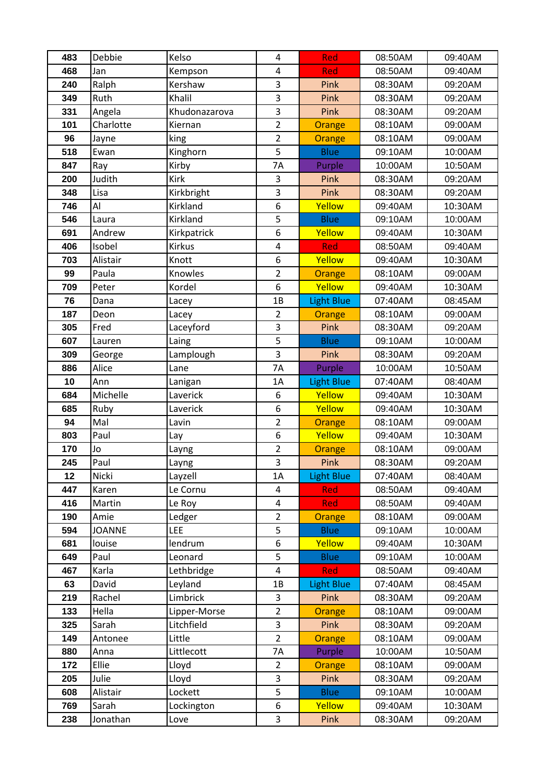| 483       | Debbie          | Kelso            | $\overline{4}$          | Red                      | 08:50AM            | 09:40AM            |
|-----------|-----------------|------------------|-------------------------|--------------------------|--------------------|--------------------|
| 468       | Jan             | Kempson          | 4                       | Red                      | 08:50AM            | 09:40AM            |
| 240       | Ralph           | Kershaw          | 3                       | Pink                     | 08:30AM            | 09:20AM            |
| 349       | Ruth            | Khalil           | 3                       | Pink                     | 08:30AM            | 09:20AM            |
| 331       | Angela          | Khudonazarova    | $\overline{3}$          | Pink                     | 08:30AM            | 09:20AM            |
| 101       | Charlotte       | Kiernan          | $\overline{2}$          | Orange                   | 08:10AM            | 09:00AM            |
| 96        | Jayne           | king             | $\overline{2}$          | Orange                   | 08:10AM            | 09:00AM            |
| 518       | Ewan            | Kinghorn         | 5                       | <b>Blue</b>              | 09:10AM            | 10:00AM            |
| 847       | Ray             | Kirby            | 7A                      | Purple                   | 10:00AM            | 10:50AM            |
| 200       | Judith          | Kirk             | 3                       | Pink                     | 08:30AM            | 09:20AM            |
| 348       | Lisa            | Kirkbright       | 3                       | Pink                     | 08:30AM            | 09:20AM            |
| 746       | Al              | Kirkland         | 6                       | Yellow                   | 09:40AM            | 10:30AM            |
| 546       | Laura           | Kirkland         | 5                       | <b>Blue</b>              | 09:10AM            | 10:00AM            |
| 691       | Andrew          | Kirkpatrick      | 6                       | Yellow                   | 09:40AM            | 10:30AM            |
| 406       | Isobel          | <b>Kirkus</b>    | $\pmb{4}$               | <b>Red</b>               | 08:50AM            | 09:40AM            |
| 703       | Alistair        | Knott            | 6                       | Yellow                   | 09:40AM            | 10:30AM            |
| 99        | Paula           | Knowles          | $\overline{2}$          | <b>Orange</b>            | 08:10AM            | 09:00AM            |
| 709       | Peter           | Kordel           | 6                       | Yellow                   | 09:40AM            | 10:30AM            |
| 76        | Dana            | Lacey            | 1B                      | <b>Light Blue</b>        | 07:40AM            | 08:45AM            |
| 187       | Deon            | Lacey            | $\overline{2}$          | Orange                   | 08:10AM            | 09:00AM            |
| 305       | Fred            | Laceyford        | 3                       | Pink                     | 08:30AM            | 09:20AM            |
| 607       | Lauren          | Laing            | 5                       | <b>Blue</b>              | 09:10AM            | 10:00AM            |
| 309       | George          | Lamplough        | 3                       | Pink                     | 08:30AM            | 09:20AM            |
| 886       | Alice           | Lane             | <b>7A</b>               | Purple                   | 10:00AM            | 10:50AM            |
| 10        | Ann             | Lanigan          | 1A                      | <b>Light Blue</b>        | 07:40AM            | 08:40AM            |
| 684       | Michelle        | Laverick         | 6                       | Yellow                   | 09:40AM            | 10:30AM            |
| 685       | Ruby            | Laverick         | 6                       | Yellow                   | 09:40AM            | 10:30AM            |
| 94        | Mal             | Lavin            | $\overline{2}$          | Orange                   | 08:10AM            | 09:00AM            |
| 803       | Paul            | Lay              | 6                       | Yellow                   | 09:40AM            | 10:30AM            |
| 170       | Jo              | Layng            | $\overline{2}$          | Orange                   | 08:10AM            | 09:00AM            |
| 245       | Paul            | Layng            | 3                       | Pink                     | 08:30AM            | 09:20AM            |
| 12<br>447 | Nicki           | Layzell          | 1A<br>4                 | <b>Light Blue</b>        | 07:40AM<br>08:50AM | 08:40AM            |
| 416       | Karen<br>Martin | Le Cornu         | 4                       | <b>Red</b><br><b>Red</b> | 08:50AM            | 09:40AM<br>09:40AM |
| 190       | Amie            | Le Roy<br>Ledger | $\overline{2}$          | Orange                   | 08:10AM            | 09:00AM            |
| 594       | <b>JOANNE</b>   | LEE              | 5                       | <b>Blue</b>              | 09:10AM            | 10:00AM            |
| 681       | louise          | lendrum          | 6                       | Yellow                   | 09:40AM            | 10:30AM            |
| 649       | Paul            | Leonard          | 5                       | <b>Blue</b>              | 09:10AM            | 10:00AM            |
| 467       | Karla           | Lethbridge       | $\overline{\mathbf{4}}$ | <b>Red</b>               | 08:50AM            | 09:40AM            |
| 63        | David           | Leyland          | 1B                      | Light Blue               | 07:40AM            | 08:45AM            |
| 219       | Rachel          | Limbrick         | 3                       | Pink                     | 08:30AM            | 09:20AM            |
| 133       | Hella           | Lipper-Morse     | $\overline{2}$          | Orange                   | 08:10AM            | 09:00AM            |
| 325       | Sarah           | Litchfield       | 3                       | Pink                     | 08:30AM            | 09:20AM            |
| 149       | Antonee         | Little           | $\overline{2}$          | Orange                   | 08:10AM            | 09:00AM            |
| 880       | Anna            | Littlecott       | 7A                      | Purple                   | 10:00AM            | 10:50AM            |
| 172       | Ellie           | Lloyd            | $\overline{2}$          | Orange                   | 08:10AM            | 09:00AM            |
| 205       | Julie           | Lloyd            | 3                       | Pink                     | 08:30AM            | 09:20AM            |
| 608       | Alistair        | Lockett          | 5                       | <b>Blue</b>              | 09:10AM            | 10:00AM            |
| 769       | Sarah           | Lockington       | 6                       | Yellow                   | 09:40AM            | 10:30AM            |
| 238       | Jonathan        | Love             | 3                       | Pink                     | 08:30AM            | 09:20AM            |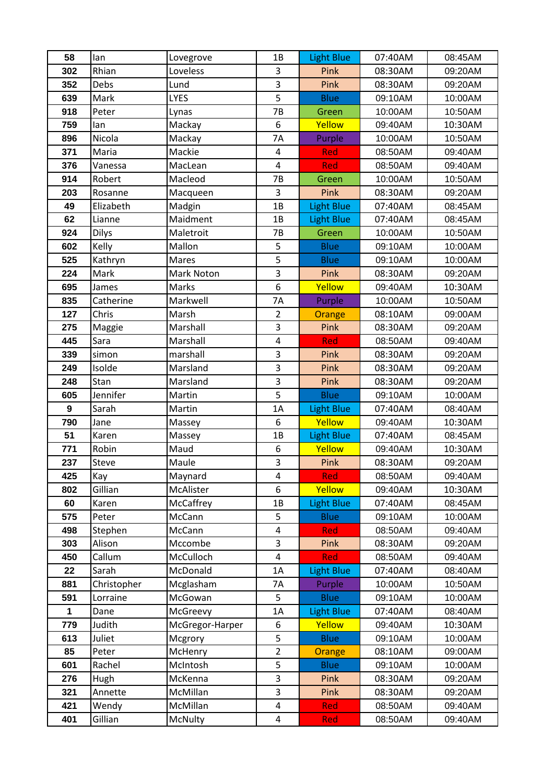| 58           | lan               | Lovegrove        | 1B                           | <b>Light Blue</b>  | 07:40AM            | 08:45AM            |
|--------------|-------------------|------------------|------------------------------|--------------------|--------------------|--------------------|
| 302          | Rhian             | Loveless         | 3                            | Pink               | 08:30AM            | 09:20AM            |
| 352          | Debs              | Lund             | 3                            | Pink               | 08:30AM            | 09:20AM            |
| 639          | Mark              | <b>LYES</b>      | 5                            | <b>Blue</b>        | 09:10AM            | 10:00AM            |
| 918          | Peter             | Lynas            | 7B                           | Green              | 10:00AM            | 10:50AM            |
| 759          | lan               | Mackay           | 6                            | Yellow             | 09:40AM            | 10:30AM            |
| 896          | Nicola            | Mackay           | 7A                           | Purple             | 10:00AM            | 10:50AM            |
| 371          | Maria             | Mackie           | 4                            | Red                | 08:50AM            | 09:40AM            |
| 376          | Vanessa           | MacLean          | $\overline{4}$               | <b>Red</b>         | 08:50AM            | 09:40AM            |
| 914          | Robert            | Macleod          | 7B                           | Green              | 10:00AM            | 10:50AM            |
| 203          | Rosanne           | Macqueen         | 3                            | Pink               | 08:30AM            | 09:20AM            |
| 49           | Elizabeth         | Madgin           | 1B                           | <b>Light Blue</b>  | 07:40AM            | 08:45AM            |
| 62           | Lianne            | Maidment         | 1B                           | <b>Light Blue</b>  | 07:40AM            | 08:45AM            |
| 924          | <b>Dilys</b>      | Maletroit        | 7B                           | Green              | 10:00AM            | 10:50AM            |
| 602          | Kelly             | Mallon           | 5                            | <b>Blue</b>        | 09:10AM            | 10:00AM            |
| 525          | Kathryn           | Mares            | 5                            | <b>Blue</b>        | 09:10AM            | 10:00AM            |
| 224          | Mark              | Mark Noton       | $\overline{3}$               | Pink               | 08:30AM            | 09:20AM            |
| 695          | James             | Marks            | 6                            | Yellow             | 09:40AM            | 10:30AM            |
| 835          | Catherine         | Markwell         | 7A                           | Purple             | 10:00AM            | 10:50AM            |
| 127          | Chris             | Marsh            | $\overline{2}$               | Orange             | 08:10AM            | 09:00AM            |
| 275          | Maggie            | Marshall         | 3                            | Pink               | 08:30AM            | 09:20AM            |
| 445          | Sara              | Marshall         | 4                            | Red                | 08:50AM            | 09:40AM            |
| 339          | simon             | marshall         | 3                            | Pink               | 08:30AM            | 09:20AM            |
| 249          | Isolde            | Marsland         | 3                            | Pink               | 08:30AM            | 09:20AM            |
| 248          | Stan              | Marsland         | 3                            | Pink               | 08:30AM            | 09:20AM            |
| 605          | Jennifer          | Martin           | 5                            | <b>Blue</b>        | 09:10AM            | 10:00AM            |
| 9            | Sarah             | Martin           | 1A                           | Light Blue         | 07:40AM            | 08:40AM            |
| 790          | Jane              | Massey           | 6                            | Yellow             | 09:40AM            | 10:30AM            |
| 51           | Karen             | Massey           | 1B                           | <b>Light Blue</b>  | 07:40AM            | 08:45AM            |
| 771          | Robin             | Maud             | 6                            | Yellow             | 09:40AM            | 10:30AM            |
| 237          | <b>Steve</b>      | Maule            | 3                            | <b>Pink</b>        | 08:30AM            | 09:20AM            |
| 425          | Kay               | Maynard          | 4                            | <b>Red</b>         | 08:50AM            | 09:40AM            |
| 802          | Gillian           | McAlister        | 6                            | Yellow             | 09:40AM            | 10:30AM            |
| 60           | Karen             | McCaffrey        | 1B                           | Light Blue         | 07:40AM            | 08:45AM            |
| 575<br>498   | Peter             | McCann<br>McCann | 5<br>$\overline{\mathbf{4}}$ | <b>Blue</b>        | 09:10AM<br>08:50AM | 10:00AM<br>09:40AM |
| 303          | Stephen<br>Alison | Mccombe          | 3                            | <b>Red</b><br>Pink | 08:30AM            | 09:20AM            |
| 450          | Callum            | McCulloch        | $\overline{\mathbf{4}}$      | <b>Red</b>         | 08:50AM            | 09:40AM            |
| 22           | Sarah             | McDonald         | 1A                           | <b>Light Blue</b>  | 07:40AM            | 08:40AM            |
| 881          | Christopher       | Mcglasham        | 7A                           | Purple             | 10:00AM            | 10:50AM            |
| 591          | Lorraine          | McGowan          | 5                            | <b>Blue</b>        | 09:10AM            | 10:00AM            |
| $\mathbf{1}$ | Dane              | McGreevy         | 1A                           | <b>Light Blue</b>  | 07:40AM            | 08:40AM            |
| 779          | Judith            | McGregor-Harper  | 6                            | Yellow             | 09:40AM            | 10:30AM            |
| 613          | Juliet            | Mcgrory          | 5                            | <b>Blue</b>        | 09:10AM            | 10:00AM            |
| 85           | Peter             | McHenry          | $\overline{2}$               | Orange             | 08:10AM            | 09:00AM            |
| 601          | Rachel            | McIntosh         | 5                            | <b>Blue</b>        | 09:10AM            | 10:00AM            |
| 276          | Hugh              | McKenna          | 3                            | Pink               | 08:30AM            | 09:20AM            |
| 321          | Annette           | McMillan         | 3                            | Pink               | 08:30AM            | 09:20AM            |
| 421          | Wendy             | McMillan         | $\overline{\mathbf{4}}$      | Red                | 08:50AM            | 09:40AM            |
| 401          | Gillian           | McNulty          | $\overline{\mathbf{4}}$      | Red                | 08:50AM            | 09:40AM            |
|              |                   |                  |                              |                    |                    |                    |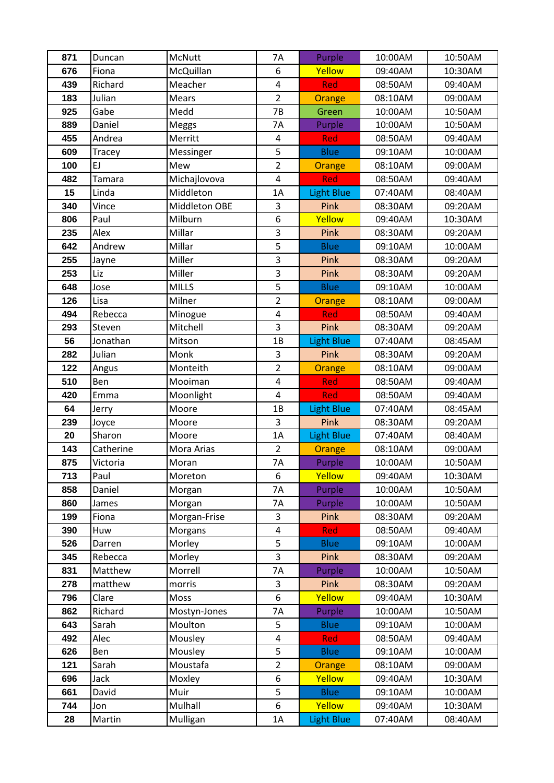| 871        | Duncan           | McNutt         | <b>7A</b>               | Purple            | 10:00AM            | 10:50AM            |
|------------|------------------|----------------|-------------------------|-------------------|--------------------|--------------------|
| 676        | Fiona            | McQuillan      | 6                       | Yellow            | 09:40AM            | 10:30AM            |
| 439        | Richard          | Meacher        | $\pmb{4}$               | Red               | 08:50AM            | 09:40AM            |
| 183        | Julian           | <b>Mears</b>   | $\overline{2}$          | <b>Orange</b>     | 08:10AM            | 09:00AM            |
| 925        | Gabe             | Medd           | 7B                      | Green             | 10:00AM            | 10:50AM            |
| 889        | Daniel           | Meggs          | 7A                      | Purple            | 10:00AM            | 10:50AM            |
| 455        | Andrea           | Merritt        | 4                       | <b>Red</b>        | 08:50AM            | 09:40AM            |
| 609        | Tracey           | Messinger      | 5                       | <b>Blue</b>       | 09:10AM            | 10:00AM            |
| 100        | EJ               | Mew            | $\overline{2}$          | Orange            | 08:10AM            | 09:00AM            |
| 482        | Tamara           | Michajlovova   | $\pmb{4}$               | <b>Red</b>        | 08:50AM            | 09:40AM            |
| 15         | Linda            | Middleton      | 1A                      | <b>Light Blue</b> | 07:40AM            | 08:40AM            |
| 340        | Vince            | Middleton OBE  | 3                       | Pink              | 08:30AM            | 09:20AM            |
| 806        | Paul             | Milburn        | 6                       | Yellow            | 09:40AM            | 10:30AM            |
| 235        | Alex             | Millar         | 3                       | Pink              | 08:30AM            | 09:20AM            |
| 642        | Andrew           | Millar         | 5                       | <b>Blue</b>       | 09:10AM            | 10:00AM            |
| 255        | Jayne            | Miller         | 3                       | Pink              | 08:30AM            | 09:20AM            |
| 253        | Liz              | Miller         | 3                       | Pink              | 08:30AM            | 09:20AM            |
| 648        | Jose             | <b>MILLS</b>   | 5                       | <b>Blue</b>       | 09:10AM            | 10:00AM            |
| 126        | Lisa             | Milner         | $\overline{2}$          | Orange            | 08:10AM            | 09:00AM            |
| 494        | Rebecca          | Minogue        | $\overline{\mathbf{4}}$ | Red               | 08:50AM            | 09:40AM            |
| 293        | Steven           | Mitchell       | 3                       | Pink              | 08:30AM            | 09:20AM            |
| 56         | Jonathan         | Mitson         | 1B                      | <b>Light Blue</b> | 07:40AM            | 08:45AM            |
| 282        | Julian           | Monk           | 3                       | Pink              | 08:30AM            | 09:20AM            |
| 122        | Angus            | Monteith       | $\overline{2}$          | Orange            | 08:10AM            | 09:00AM            |
| 510        | Ben              | Mooiman        | $\overline{\mathbf{4}}$ | Red               | 08:50AM            | 09:40AM            |
| 420        | Emma             | Moonlight      | $\overline{\mathbf{4}}$ | <b>Red</b>        | 08:50AM            | 09:40AM            |
| 64         | Jerry            | Moore          | 1B                      | <b>Light Blue</b> | 07:40AM            | 08:45AM            |
| 239        | Joyce            | Moore          | 3                       | Pink              | 08:30AM            | 09:20AM            |
| 20         | Sharon           | Moore          | 1A                      | <b>Light Blue</b> | 07:40AM            | 08:40AM            |
| 143        | Catherine        | Mora Arias     | $\overline{2}$          | <b>Orange</b>     | 08:10AM            | 09:00AM            |
| 875        | Victoria         | Moran          | 7A                      | Purple            | 10:00AM            | 10:50AM            |
| 713        | Paul             | Moreton        | 6                       | Yellow            | 09:40AM            | 10:30AM            |
| 858        | Daniel           | Morgan         | 7A                      | Purple            | 10:00AM            | 10:50AM            |
| 860        | James            | Morgan         | 7A                      | Purple            | 10:00AM            | 10:50AM            |
| 199        | Fiona            | Morgan-Frise   | 3                       | Pink              | 08:30AM            | 09:20AM            |
| 390        | Huw              | Morgans        | $\pmb{4}$               | <b>Red</b>        | 08:50AM            | 09:40AM            |
| 526        | Darren           | Morley         | 5                       | <b>Blue</b>       | 09:10AM            | 10:00AM            |
| 345        | Rebecca          | Morley         | 3                       | Pink              | 08:30AM            | 09:20AM            |
| 831        | Matthew          | Morrell        | 7A<br>3                 | Purple            | 10:00AM            | 10:50AM            |
| 278<br>796 | matthew          | morris<br>Moss | 6                       | Pink<br>Yellow    | 08:30AM<br>09:40AM | 09:20AM            |
| 862        | Clare<br>Richard | Mostyn-Jones   | 7A                      | Purple            | 10:00AM            | 10:30AM<br>10:50AM |
| 643        | Sarah            | Moulton        | 5                       | <b>Blue</b>       | 09:10AM            | 10:00AM            |
| 492        | Alec             | Mousley        | 4                       | <b>Red</b>        | 08:50AM            | 09:40AM            |
| 626        | Ben              | Mousley        | 5                       | <b>Blue</b>       | 09:10AM            | 10:00AM            |
| 121        | Sarah            | Moustafa       | $\overline{2}$          | Orange            | 08:10AM            | 09:00AM            |
| 696        | Jack             | Moxley         | 6                       | Yellow            | 09:40AM            | 10:30AM            |
| 661        | David            | Muir           | 5                       | <b>Blue</b>       | 09:10AM            | 10:00AM            |
| 744        | Jon              | Mulhall        | 6                       | Yellow            | 09:40AM            | 10:30AM            |
| 28         | Martin           | Mulligan       | 1A                      | <b>Light Blue</b> | 07:40AM            | 08:40AM            |
|            |                  |                |                         |                   |                    |                    |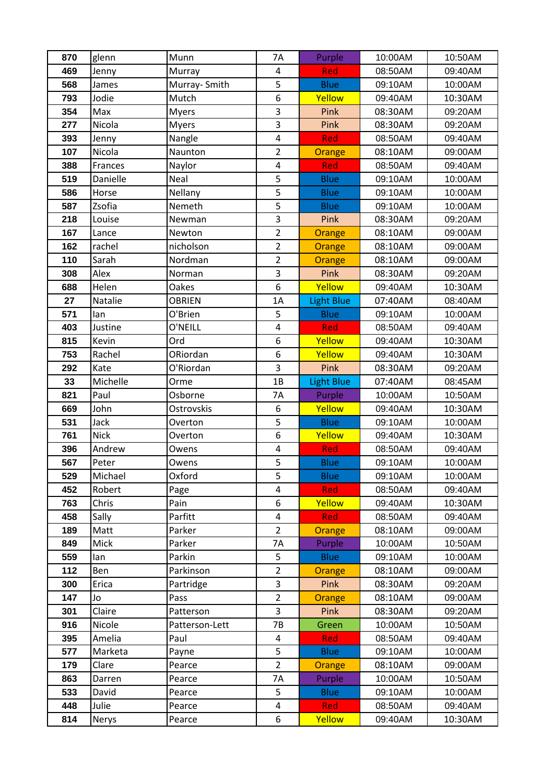| 870        | glenn        | Munn             | <b>7A</b>                                 | Purple            | 10:00AM            | 10:50AM            |
|------------|--------------|------------------|-------------------------------------------|-------------------|--------------------|--------------------|
| 469        | Jenny        | Murray           | 4                                         | <b>Red</b>        | 08:50AM            | 09:40AM            |
| 568        | James        | Murray-Smith     | 5                                         | <b>Blue</b>       | 09:10AM            | 10:00AM            |
| 793        | Jodie        | Mutch            | 6                                         | Yellow            | 09:40AM            | 10:30AM            |
| 354        | Max          | <b>Myers</b>     | $\overline{3}$                            | Pink              | 08:30AM            | 09:20AM            |
| 277        | Nicola       | <b>Myers</b>     | 3                                         | Pink              | 08:30AM            | 09:20AM            |
| 393        | Jenny        | Nangle           | $\overline{\mathbf{4}}$                   | <b>Red</b>        | 08:50AM            | 09:40AM            |
| 107        | Nicola       | Naunton          | $\overline{2}$                            | Orange            | 08:10AM            | 09:00AM            |
| 388        | Frances      | Naylor           | $\overline{\mathbf{4}}$                   | Red               | 08:50AM            | 09:40AM            |
| 519        | Danielle     | Neal             | 5                                         | <b>Blue</b>       | 09:10AM            | 10:00AM            |
| 586        | Horse        | Nellany          | 5                                         | <b>Blue</b>       | 09:10AM            | 10:00AM            |
| 587        | Zsofia       | Nemeth           | 5                                         | <b>Blue</b>       | 09:10AM            | 10:00AM            |
| 218        | Louise       | Newman           | 3                                         | Pink              | 08:30AM            | 09:20AM            |
| 167        | Lance        | Newton           | $\overline{2}$                            | Orange            | 08:10AM            | 09:00AM            |
| 162        | rachel       | nicholson        | $\overline{2}$                            | Orange            | 08:10AM            | 09:00AM            |
| 110        | Sarah        | Nordman          | $\overline{2}$                            | <b>Orange</b>     | 08:10AM            | 09:00AM            |
| 308        | Alex         | Norman           | 3                                         | Pink              | 08:30AM            | 09:20AM            |
| 688        | Helen        | Oakes            | 6                                         | Yellow            | 09:40AM            | 10:30AM            |
| 27         | Natalie      | <b>OBRIEN</b>    | 1A                                        | <b>Light Blue</b> | 07:40AM            | 08:40AM            |
| 571        | lan          | O'Brien          | 5                                         | <b>Blue</b>       | 09:10AM            | 10:00AM            |
| 403        | Justine      | O'NEILL          | $\overline{4}$                            | <b>Red</b>        | 08:50AM            | 09:40AM            |
| 815        | Kevin        | Ord              | 6                                         | Yellow            | 09:40AM            | 10:30AM            |
| 753        | Rachel       | ORiordan         | 6                                         | Yellow            | 09:40AM            | 10:30AM            |
| 292        | Kate         | O'Riordan        | 3                                         | Pink              | 08:30AM            | 09:20AM            |
| 33         | Michelle     | Orme             | 1B                                        | Light Blue        | 07:40AM            | 08:45AM            |
| 821        | Paul         | Osborne          | 7A                                        | Purple            | 10:00AM            | 10:50AM            |
| 669        | John         | Ostrovskis       | 6                                         | Yellow            | 09:40AM            | 10:30AM            |
| 531        | Jack         | Overton          | 5                                         | <b>Blue</b>       | 09:10AM            | 10:00AM            |
| 761        | <b>Nick</b>  | Overton          | 6                                         | Yellow            | 09:40AM            | 10:30AM            |
| 396        | Andrew       | Owens            | $\overline{\mathbf{4}}$                   | Red               | 08:50AM            | 09:40AM            |
| 567        | Peter        | Owens            | 5                                         | <b>Blue</b>       | 09:10AM            | 10:00AM            |
| 529        | Michael      | Oxford           | 5                                         | <b>Blue</b>       | 09:10AM            | 10:00AM            |
| 452        | Robert       | Page             | 4                                         | <b>Red</b>        | 08:50AM            | 09:40AM            |
| 763        | Chris        | Pain             | 6                                         | Yellow            | 09:40AM            | 10:30AM            |
| 458<br>189 | Sally        | Parfitt          | $\overline{\mathbf{4}}$<br>$\overline{2}$ | <b>Red</b>        | 08:50AM            | 09:40AM            |
| 849        | Matt<br>Mick | Parker<br>Parker | 7A                                        | Orange<br>Purple  | 08:10AM<br>10:00AM | 09:00AM<br>10:50AM |
| 559        | lan          | Parkin           | 5                                         | <b>Blue</b>       | 09:10AM            | 10:00AM            |
| 112        | Ben          | Parkinson        | $\overline{2}$                            | Orange            | 08:10AM            | 09:00AM            |
| 300        | Erica        | Partridge        | 3                                         | Pink              | 08:30AM            | 09:20AM            |
| 147        | Jo           | Pass             | $\overline{2}$                            | <b>Orange</b>     | 08:10AM            | 09:00AM            |
| 301        | Claire       | Patterson        | 3                                         | Pink              | 08:30AM            | 09:20AM            |
| 916        | Nicole       | Patterson-Lett   | 7B                                        | Green             | 10:00AM            | 10:50AM            |
| 395        | Amelia       | Paul             | $\overline{4}$                            | Red               | 08:50AM            | 09:40AM            |
| 577        | Marketa      | Payne            | 5                                         | <b>Blue</b>       | 09:10AM            | 10:00AM            |
| 179        | Clare        | Pearce           | $\overline{2}$                            | Orange            | 08:10AM            | 09:00AM            |
| 863        | Darren       | Pearce           | 7A                                        | Purple            | 10:00AM            | 10:50AM            |
| 533        | David        | Pearce           | 5                                         | <b>Blue</b>       | 09:10AM            | 10:00AM            |
| 448        | Julie        | Pearce           | $\overline{\mathbf{4}}$                   | <b>Red</b>        | 08:50AM            | 09:40AM            |
| 814        | Nerys        | Pearce           | 6                                         | Yellow            | 09:40AM            | 10:30AM            |
|            |              |                  |                                           |                   |                    |                    |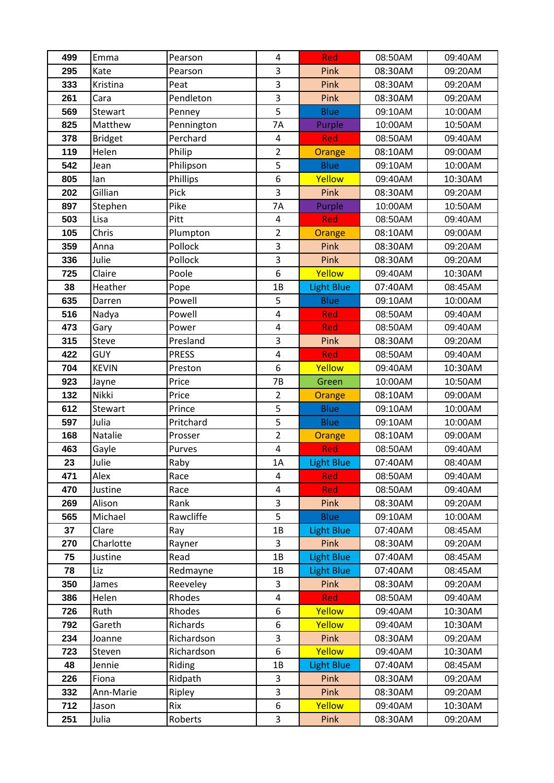| 499        | Emma              | Pearson      | 4                       | Red                | 08:50AM            | 09:40AM            |
|------------|-------------------|--------------|-------------------------|--------------------|--------------------|--------------------|
| 295        | Kate              | Pearson      | 3                       | Pink               | 08:30AM            | 09:20AM            |
| 333        | Kristina          | Peat         | $\overline{3}$          | Pink               | 08:30AM            | 09:20AM            |
| 261        | Cara              | Pendleton    | 3                       | Pink               | 08:30AM            | 09:20AM            |
| 569        | Stewart           | Penney       | $\overline{5}$          | <b>Blue</b>        | 09:10AM            | 10:00AM            |
| 825        | Matthew           | Pennington   | <b>7A</b>               | Purple             | 10:00AM            | 10:50AM            |
| 378        | <b>Bridget</b>    | Perchard     | 4                       | <b>Red</b>         | 08:50AM            | 09:40AM            |
| 119        | Helen             | Philip       | $\overline{2}$          | Orange             | 08:10AM            | 09:00AM            |
| 542        | Jean              | Philipson    | 5                       | <b>Blue</b>        | 09:10AM            | 10:00AM            |
| 805        | lan               | Phillips     | 6                       | Yellow             | 09:40AM            | 10:30AM            |
| 202        | Gillian           | Pick         | 3                       | Pink               | 08:30AM            | 09:20AM            |
| 897        | Stephen           | Pike         | 7A                      | Purple             | 10:00AM            | 10:50AM            |
| 503        | Lisa              | Pitt         | $\overline{4}$          | Red                | 08:50AM            | 09:40AM            |
| 105        | Chris             | Plumpton     | $\overline{2}$          | Orange             | 08:10AM            | 09:00AM            |
| 359        | Anna              | Pollock      | 3                       | Pink               | 08:30AM            | 09:20AM            |
| 336        | Julie             | Pollock      | 3                       | Pink               | 08:30AM            | 09:20AM            |
| 725        | Claire            | Poole        | 6                       | Yellow             | 09:40AM            | 10:30AM            |
| 38         | Heather           | Pope         | 1B                      | <b>Light Blue</b>  | 07:40AM            | 08:45AM            |
| 635        | Darren            | Powell       | 5                       | <b>Blue</b>        | 09:10AM            | 10:00AM            |
| 516        | Nadya             | Powell       | $\overline{4}$          | <b>Red</b>         | 08:50AM            | 09:40AM            |
| 473        | Gary              | Power        | $\pmb{4}$               | <b>Red</b>         | 08:50AM            | 09:40AM            |
| 315        | Steve             | Presland     | $\overline{3}$          | Pink               | 08:30AM            | 09:20AM            |
| 422        | <b>GUY</b>        | <b>PRESS</b> | 4                       | Red                | 08:50AM            | 09:40AM            |
| 704        | <b>KEVIN</b>      | Preston      | 6                       | Yellow             | 09:40AM            | 10:30AM            |
| 923        | Jayne             | Price        | 7B                      | Green              | 10:00AM            | 10:50AM            |
| 132        | Nikki             | Price        | $\overline{2}$          | Orange             | 08:10AM            | 09:00AM            |
| 612        | Stewart           | Prince       | 5                       | <b>Blue</b>        | 09:10AM            | 10:00AM            |
| 597        | Julia             | Pritchard    | 5                       | <b>Blue</b>        | 09:10AM            | 10:00AM            |
| 168        | Natalie           | Prosser      | $\overline{2}$          | <b>Orange</b>      | 08:10AM            | 09:00AM            |
| 463        | Gayle             | Purves       | $\overline{\mathbf{4}}$ | Red                | 08:50AM            | 09:40AM            |
| 23         | Julie             | Raby         | 1A                      | <b>Light Blue</b>  | 07:40AM            | 08:40AM            |
| 471        | Alex              | Race         | 4<br>4                  | <b>Red</b>         | 08:50AM            | 09:40AM            |
| 470<br>269 | Justine<br>Alison | Race<br>Rank | 3                       | <b>Red</b><br>Pink | 08:50AM<br>08:30AM | 09:40AM<br>09:20AM |
| 565        | Michael           | Rawcliffe    | 5                       | <b>Blue</b>        | 09:10AM            | 10:00AM            |
| 37         | Clare             | Ray          | 1B                      | <b>Light Blue</b>  | 07:40AM            | 08:45AM            |
| 270        | Charlotte         | Rayner       | 3                       | Pink               | 08:30AM            | 09:20AM            |
| 75         | Justine           | Read         | 1B                      | <b>Light Blue</b>  | 07:40AM            | 08:45AM            |
| 78         | Liz               | Redmayne     | 1B                      | <b>Light Blue</b>  | 07:40AM            | 08:45AM            |
| 350        | James             | Reeveley     | 3                       | Pink               | 08:30AM            | 09:20AM            |
| 386        | Helen             | Rhodes       | 4                       | <b>Red</b>         | 08:50AM            | 09:40AM            |
| 726        | Ruth              | Rhodes       | 6                       | Yellow             | 09:40AM            | 10:30AM            |
| 792        | Gareth            | Richards     | 6                       | Yellow             | 09:40AM            | 10:30AM            |
| 234        | Joanne            | Richardson   | 3                       | Pink               | 08:30AM            | 09:20AM            |
| 723        | Steven            | Richardson   | 6                       | Yellow             | 09:40AM            | 10:30AM            |
| 48         | Jennie            | Riding       | 1B                      | <b>Light Blue</b>  | 07:40AM            | 08:45AM            |
| 226        | Fiona             | Ridpath      | 3                       | Pink               | 08:30AM            | 09:20AM            |
| 332        | Ann-Marie         | Ripley       | 3                       | Pink               | 08:30AM            | 09:20AM            |
| 712        | Jason             | Rix          | 6                       | Yellow             | 09:40AM            | 10:30AM            |
| 251        | Julia             | Roberts      | 3                       | Pink               | 08:30AM            | 09:20AM            |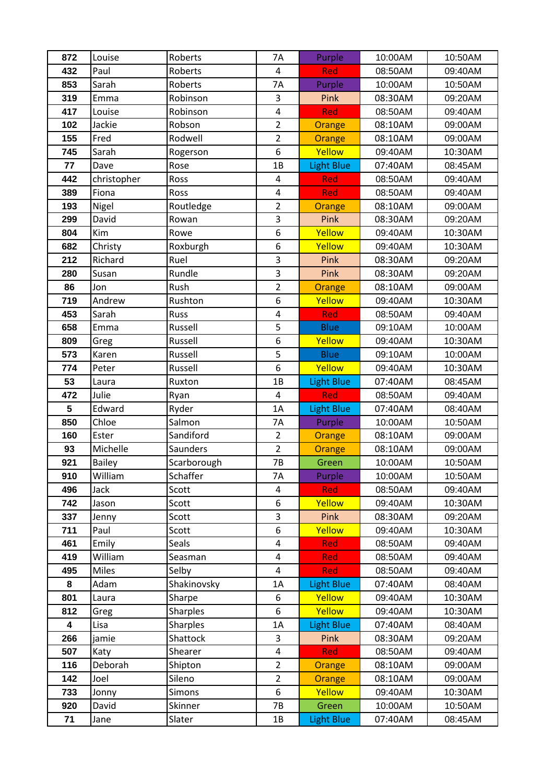| 872        | Louise        | Roberts          | <b>7A</b>               | Purple            | 10:00AM            | 10:50AM            |
|------------|---------------|------------------|-------------------------|-------------------|--------------------|--------------------|
| 432        | Paul          | Roberts          | 4                       | Red               | 08:50AM            | 09:40AM            |
| 853        | Sarah         | Roberts          | 7A                      | Purple            | 10:00AM            | 10:50AM            |
| 319        | Emma          | Robinson         | 3                       | Pink              | 08:30AM            | 09:20AM            |
| 417        | Louise        | Robinson         | $\overline{\mathbf{4}}$ | Red               | 08:50AM            | 09:40AM            |
| 102        | Jackie        | Robson           | $\overline{2}$          | Orange            | 08:10AM            | 09:00AM            |
| 155        | Fred          | Rodwell          | $\overline{2}$          | Orange            | 08:10AM            | 09:00AM            |
| 745        | Sarah         | Rogerson         | 6                       | Yellow            | 09:40AM            | 10:30AM            |
| 77         | Dave          | Rose             | 1B                      | Light Blue        | 07:40AM            | 08:45AM            |
| 442        | christopher   | Ross             | 4                       | <b>Red</b>        | 08:50AM            | 09:40AM            |
| 389        | Fiona         | Ross             | $\overline{\mathbf{4}}$ | Red               | 08:50AM            | 09:40AM            |
| 193        | Nigel         | Routledge        | $\overline{2}$          | Orange            | 08:10AM            | 09:00AM            |
| 299        | David         | Rowan            | 3                       | Pink              | 08:30AM            | 09:20AM            |
| 804        | Kim           | Rowe             | 6                       | Yellow            | 09:40AM            | 10:30AM            |
| 682        | Christy       | Roxburgh         | 6                       | Yellow            | 09:40AM            | 10:30AM            |
| 212        | Richard       | Ruel             | 3                       | Pink              | 08:30AM            | 09:20AM            |
| 280        | Susan         | Rundle           | 3                       | Pink              | 08:30AM            | 09:20AM            |
| 86         | Jon           | Rush             | $\overline{2}$          | Orange            | 08:10AM            | 09:00AM            |
| 719        | Andrew        | Rushton          | 6                       | Yellow            | 09:40AM            | 10:30AM            |
| 453        | Sarah         | Russ             | $\overline{4}$          | Red               | 08:50AM            | 09:40AM            |
| 658        | Emma          | Russell          | 5                       | <b>Blue</b>       | 09:10AM            | 10:00AM            |
| 809        | Greg          | Russell          | 6                       | Yellow            | 09:40AM            | 10:30AM            |
| 573        | Karen         | Russell          | 5                       | <b>Blue</b>       | 09:10AM            | 10:00AM            |
| 774        | Peter         | Russell          | 6                       | Yellow            | 09:40AM            | 10:30AM            |
| 53         | Laura         | Ruxton           | 1B                      | <b>Light Blue</b> | 07:40AM            | 08:45AM            |
| 472        | Julie         | Ryan             | $\overline{4}$          | Red               | 08:50AM            | 09:40AM            |
| 5          | Edward        | Ryder            | 1A                      | <b>Light Blue</b> | 07:40AM            | 08:40AM            |
| 850        | Chloe         | Salmon           | 7A                      | Purple            | 10:00AM            | 10:50AM            |
| 160        | Ester         | Sandiford        | $\overline{2}$          | Orange            | 08:10AM            | 09:00AM            |
| 93         | Michelle      | Saunders         | $\overline{2}$          | <b>Orange</b>     | 08:10AM            | 09:00AM            |
| 921        | <b>Bailey</b> | Scarborough      | 7B                      | Green             | 10:00AM            | 10:50AM            |
| 910        | William       | Schaffer         | 7A                      | Purple            | 10:00AM            | 10:50AM            |
| 496        | Jack          | Scott            | 4                       | <b>Red</b>        | 08:50AM            | 09:40AM            |
| 742        | Jason         | Scott            | 6                       | Yellow            | 09:40AM            | 10:30AM            |
| 337        | Jenny         | Scott            | 3<br>6                  | Pink<br>Yellow    | 08:30AM            | 09:20AM            |
| 711<br>461 | Paul<br>Emily | Scott            | $\overline{\mathbf{4}}$ | <b>Red</b>        | 09:40AM<br>08:50AM | 10:30AM<br>09:40AM |
| 419        | William       | Seals<br>Seasman | $\overline{\mathbf{4}}$ | <b>Red</b>        | 08:50AM            | 09:40AM            |
| 495        | Miles         | Selby            | 4                       | Red               | 08:50AM            | 09:40AM            |
| 8          | Adam          | Shakinovsky      | 1A                      | Light Blue        | 07:40AM            | 08:40AM            |
| 801        | Laura         | Sharpe           | 6                       | Yellow            | 09:40AM            | 10:30AM            |
| 812        | Greg          | Sharples         | 6                       | Yellow            | 09:40AM            | 10:30AM            |
| 4          | Lisa          | Sharples         | 1A                      | <b>Light Blue</b> | 07:40AM            | 08:40AM            |
| 266        | jamie         | Shattock         | 3                       | Pink              | 08:30AM            | 09:20AM            |
| 507        | Katy          | Shearer          | $\overline{\mathbf{4}}$ | <b>Red</b>        | 08:50AM            | 09:40AM            |
| 116        | Deborah       | Shipton          | $\overline{2}$          | Orange            | 08:10AM            | 09:00AM            |
| 142        | Joel          | Sileno           | $\overline{2}$          | Orange            | 08:10AM            | 09:00AM            |
| 733        | Jonny         | Simons           | 6                       | Yellow            | 09:40AM            | 10:30AM            |
| 920        | David         | Skinner          | 7B                      | Green             | 10:00AM            | 10:50AM            |
| 71         | Jane          | Slater           | 1B                      | <b>Light Blue</b> | 07:40AM            | 08:45AM            |
|            |               |                  |                         |                   |                    |                    |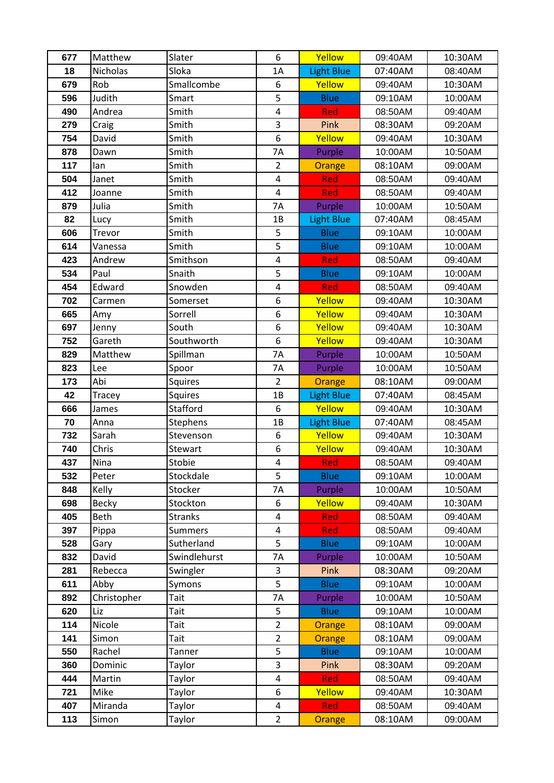| 677 | Matthew      | Slater          | 6                       | Yellow            | 09:40AM | 10:30AM |
|-----|--------------|-----------------|-------------------------|-------------------|---------|---------|
| 18  | Nicholas     | Sloka           | 1A                      | <b>Light Blue</b> | 07:40AM | 08:40AM |
| 679 | Rob          | Smallcombe      | 6                       | Yellow            | 09:40AM | 10:30AM |
| 596 | Judith       | Smart           | 5                       | <b>Blue</b>       | 09:10AM | 10:00AM |
| 490 | Andrea       | Smith           | $\overline{\mathbf{4}}$ | Red               | 08:50AM | 09:40AM |
| 279 | Craig        | Smith           | 3                       | Pink              | 08:30AM | 09:20AM |
| 754 | David        | Smith           | 6                       | Yellow            | 09:40AM | 10:30AM |
| 878 | Dawn         | Smith           | 7A                      | Purple            | 10:00AM | 10:50AM |
| 117 | lan          | Smith           | $\overline{2}$          | Orange            | 08:10AM | 09:00AM |
| 504 | Janet        | Smith           | $\pmb{4}$               | Red               | 08:50AM | 09:40AM |
| 412 | Joanne       | Smith           | $\overline{\mathbf{4}}$ | Red               | 08:50AM | 09:40AM |
| 879 | Julia        | Smith           | 7A                      | Purple            | 10:00AM | 10:50AM |
| 82  | Lucy         | Smith           | 1B                      | <b>Light Blue</b> | 07:40AM | 08:45AM |
| 606 | Trevor       | Smith           | 5                       | <b>Blue</b>       | 09:10AM | 10:00AM |
| 614 | Vanessa      | Smith           | 5                       | <b>Blue</b>       | 09:10AM | 10:00AM |
| 423 | Andrew       | Smithson        | 4                       | Red               | 08:50AM | 09:40AM |
| 534 | Paul         | Snaith          | $\overline{5}$          | <b>Blue</b>       | 09:10AM | 10:00AM |
| 454 | Edward       | Snowden         | $\overline{\mathbf{4}}$ | Red               | 08:50AM | 09:40AM |
| 702 | Carmen       | Somerset        | 6                       | Yellow            | 09:40AM | 10:30AM |
| 665 | Amy          | Sorrell         | 6                       | Yellow            | 09:40AM | 10:30AM |
| 697 | Jenny        | South           | 6                       | Yellow            | 09:40AM | 10:30AM |
| 752 | Gareth       | Southworth      | 6                       | Yellow            | 09:40AM | 10:30AM |
| 829 | Matthew      | Spillman        | <b>7A</b>               | Purple            | 10:00AM | 10:50AM |
| 823 | Lee          | Spoor           | 7A                      | Purple            | 10:00AM | 10:50AM |
| 173 | Abi          | Squires         | $\overline{2}$          | <b>Orange</b>     | 08:10AM | 09:00AM |
| 42  | Tracey       | <b>Squires</b>  | 1B                      | Light Blue        | 07:40AM | 08:45AM |
| 666 | James        | Stafford        | 6                       | Yellow            | 09:40AM | 10:30AM |
| 70  | Anna         | <b>Stephens</b> | 1B                      | Light Blue        | 07:40AM | 08:45AM |
| 732 | Sarah        | Stevenson       | 6                       | Yellow            | 09:40AM | 10:30AM |
| 740 | Chris        | Stewart         | 6                       | Yellow            | 09:40AM | 10:30AM |
| 437 | Nina         | Stobie          | $\overline{\mathbf{4}}$ | Red               | 08:50AM | 09:40AM |
| 532 | Peter        | Stockdale       | 5                       | <b>Blue</b>       | 09:10AM | 10:00AM |
| 848 | Kelly        | Stocker         | 7A                      | Purple            | 10:00AM | 10:50AM |
| 698 | <b>Becky</b> | Stockton        | 6                       | Yellow            | 09:40AM | 10:30AM |
| 405 | <b>Beth</b>  | <b>Stranks</b>  | 4                       | <b>Red</b>        | 08:50AM | 09:40AM |
| 397 | Pippa        | Summers         | $\overline{\mathbf{4}}$ | <b>Red</b>        | 08:50AM | 09:40AM |
| 528 | Gary         | Sutherland      | 5                       | <b>Blue</b>       | 09:10AM | 10:00AM |
| 832 | David        | Swindlehurst    | 7A                      | Purple            | 10:00AM | 10:50AM |
| 281 | Rebecca      | Swingler        | 3                       | <b>Pink</b>       | 08:30AM | 09:20AM |
| 611 | Abby         | Symons          | 5                       | <b>Blue</b>       | 09:10AM | 10:00AM |
| 892 | Christopher  | Tait            | 7Α                      | Purple            | 10:00AM | 10:50AM |
| 620 | Liz          | Tait            | 5                       | <b>Blue</b>       | 09:10AM | 10:00AM |
| 114 | Nicole       | Tait            | $\overline{2}$          | Orange            | 08:10AM | 09:00AM |
| 141 | Simon        | Tait            | $\overline{2}$          | Orange            | 08:10AM | 09:00AM |
| 550 | Rachel       | Tanner          | 5                       | <b>Blue</b>       | 09:10AM | 10:00AM |
| 360 | Dominic      | Taylor          | 3                       | Pink              | 08:30AM | 09:20AM |
| 444 | Martin       | Taylor          | 4                       | <b>Red</b>        | 08:50AM | 09:40AM |
| 721 | Mike         | Taylor          | 6                       | Yellow            | 09:40AM | 10:30AM |
| 407 | Miranda      | Taylor          | 4                       | <b>Red</b>        | 08:50AM | 09:40AM |
| 113 | Simon        | Taylor          | $\overline{2}$          | Orange            | 08:10AM | 09:00AM |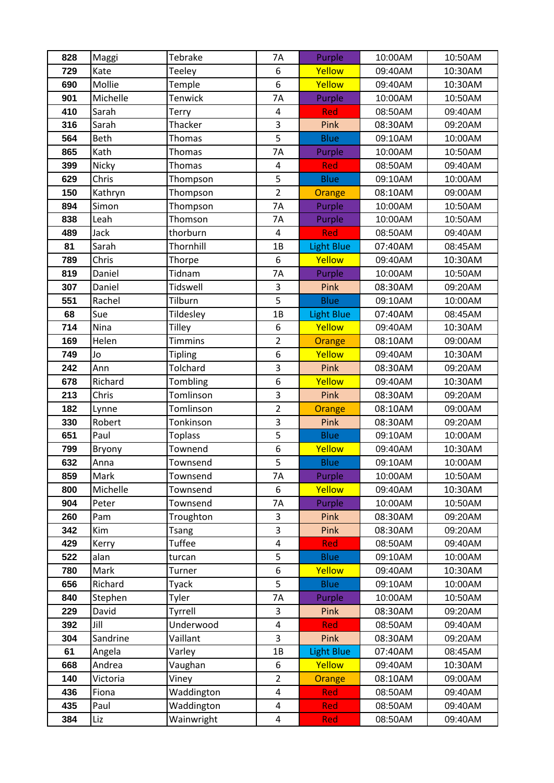| 828        | Maggi           | Tebrake         | <b>7A</b>               | Purple                | 10:00AM            | 10:50AM            |
|------------|-----------------|-----------------|-------------------------|-----------------------|--------------------|--------------------|
| 729        | Kate            | Teeley          | 6                       | Yellow                | 09:40AM            | 10:30AM            |
| 690        | Mollie          | Temple          | 6                       | Yellow                | 09:40AM            | 10:30AM            |
| 901        | Michelle        | Tenwick         | 7A                      | Purple                | 10:00AM            | 10:50AM            |
| 410        | Sarah           | Terry           | $\pmb{4}$               | Red                   | 08:50AM            | 09:40AM            |
| 316        | Sarah           | Thacker         | 3                       | Pink                  | 08:30AM            | 09:20AM            |
| 564        | Beth            | Thomas          | 5                       | <b>Blue</b>           | 09:10AM            | 10:00AM            |
| 865        | Kath            | Thomas          | 7A                      | Purple                | 10:00AM            | 10:50AM            |
| 399        | Nicky           | Thomas          | $\pmb{4}$               | Red                   | 08:50AM            | 09:40AM            |
| 629        | Chris           | Thompson        | 5                       | <b>Blue</b>           | 09:10AM            | 10:00AM            |
| 150        | Kathryn         | Thompson        | $\overline{2}$          | Orange                | 08:10AM            | 09:00AM            |
| 894        | Simon           | Thompson        | 7A                      | Purple                | 10:00AM            | 10:50AM            |
| 838        | Leah            | Thomson         | 7A                      | Purple                | 10:00AM            | 10:50AM            |
| 489        | Jack            | thorburn        | $\overline{\mathbf{4}}$ | Red                   | 08:50AM            | 09:40AM            |
| 81         | Sarah           | Thornhill       | 1B                      | <b>Light Blue</b>     | 07:40AM            | 08:45AM            |
| 789        | Chris           | Thorpe          | 6                       | Yellow                | 09:40AM            | 10:30AM            |
| 819        | Daniel          | Tidnam          | 7A                      | Purple                | 10:00AM            | 10:50AM            |
| 307        | Daniel          | <b>Tidswell</b> | 3                       | Pink                  | 08:30AM            | 09:20AM            |
| 551        | Rachel          | Tilburn         | 5                       | <b>Blue</b>           | 09:10AM            | 10:00AM            |
| 68         | Sue             | Tildesley       | 1B                      | <b>Light Blue</b>     | 07:40AM            | 08:45AM            |
| 714        | Nina            | <b>Tilley</b>   | 6                       | Yellow                | 09:40AM            | 10:30AM            |
| 169        | Helen           | <b>Timmins</b>  | $\overline{2}$          | Orange                | 08:10AM            | 09:00AM            |
| 749        | Jo              | <b>Tipling</b>  | 6                       | Yellow                | 09:40AM            | 10:30AM            |
| 242        | Ann             | Tolchard        | 3                       | Pink                  | 08:30AM            | 09:20AM            |
| 678        | Richard         | Tombling        | 6                       | Yellow                | 09:40AM            | 10:30AM            |
| 213        | Chris           | Tomlinson       | 3                       | Pink                  | 08:30AM            | 09:20AM            |
| 182        | Lynne           | Tomlinson       | $\overline{2}$          | Orange                | 08:10AM            | 09:00AM            |
| 330        | Robert          | Tonkinson       | 3                       | Pink                  | 08:30AM            | 09:20AM            |
| 651        | Paul            | <b>Toplass</b>  | 5                       | <b>Blue</b>           | 09:10AM            | 10:00AM            |
| 799        | Bryony          | Townend         | 6                       | Yellow                | 09:40AM            | 10:30AM            |
| 632        | Anna            | Townsend        | 5                       | <b>Blue</b>           | 09:10AM            | 10:00AM            |
| 859        | Mark            | Townsend        | 7A                      | Purple                | 10:00AM            | 10:50AM            |
| 800        | Michelle        | Townsend        | 6                       | Yellow                | 09:40AM            | 10:30AM            |
| 904        | Peter           | Townsend        | 7A                      | Purple                | 10:00AM            | 10:50AM            |
| 260        | Pam             | Troughton       | 3                       | Pink                  | 08:30AM            | 09:20AM            |
| 342        | Kim             | Tsang           | 3                       | Pink                  | 08:30AM            | 09:20AM            |
| 429        | Kerry           | <b>Tuffee</b>   | 4<br>5                  | <b>Red</b>            | 08:50AM            | 09:40AM            |
| 522        | alan            | turcan          | 6                       | <b>Blue</b>           | 09:10AM<br>09:40AM | 10:00AM            |
| 780<br>656 | Mark<br>Richard | Turner<br>Tyack | 5                       | Yellow<br><b>Blue</b> | 09:10AM            | 10:30AM<br>10:00AM |
| 840        | Stephen         | Tyler           | 7Α                      | Purple                | 10:00AM            | 10:50AM            |
| 229        | David           | Tyrrell         | 3                       | Pink                  | 08:30AM            | 09:20AM            |
| 392        | Jill            | Underwood       | $\overline{\mathbf{4}}$ | Red                   | 08:50AM            | 09:40AM            |
| 304        | Sandrine        | Vaillant        | 3                       | Pink                  | 08:30AM            | 09:20AM            |
| 61         | Angela          | Varley          | 1B                      | <b>Light Blue</b>     | 07:40AM            | 08:45AM            |
| 668        | Andrea          | Vaughan         | 6                       | Yellow                | 09:40AM            | 10:30AM            |
| 140        | Victoria        | Viney           | $\overline{2}$          | Orange                | 08:10AM            | 09:00AM            |
| 436        | Fiona           | Waddington      | 4                       | Red                   | 08:50AM            | 09:40AM            |
| 435        | Paul            | Waddington      | $\overline{\mathbf{4}}$ | <b>Red</b>            | 08:50AM            | 09:40AM            |
| 384        | Liz             | Wainwright      | 4                       | Red                   | 08:50AM            | 09:40AM            |
|            |                 |                 |                         |                       |                    |                    |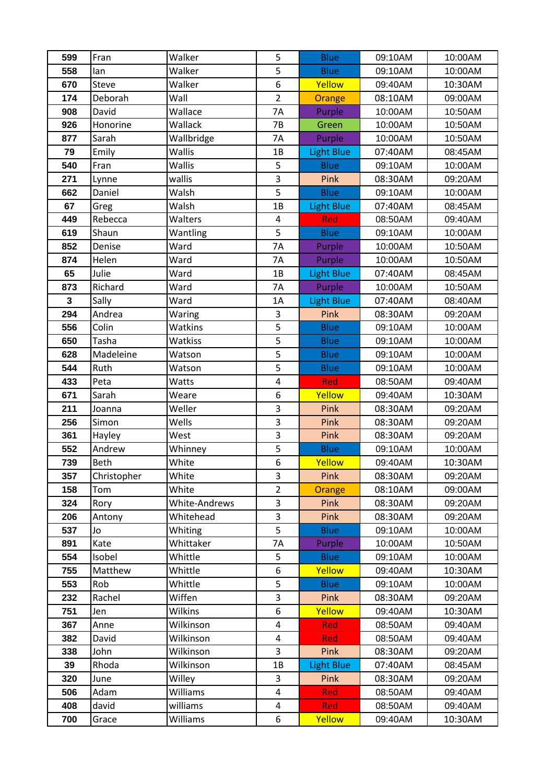| 599         | Fran           | Walker             | 5                       | <b>Blue</b>           | 09:10AM            | 10:00AM            |
|-------------|----------------|--------------------|-------------------------|-----------------------|--------------------|--------------------|
| 558         | lan            | Walker             | 5                       | <b>Blue</b>           | 09:10AM            | 10:00AM            |
| 670         | Steve          | Walker             | 6                       | Yellow                | 09:40AM            | 10:30AM            |
| 174         | Deborah        | Wall               | $\overline{2}$          | Orange                | 08:10AM            | 09:00AM            |
| 908         | David          | Wallace            | 7A                      | Purple                | 10:00AM            | 10:50AM            |
| 926         | Honorine       | Wallack            | 7B                      | Green                 | 10:00AM            | 10:50AM            |
| 877         | Sarah          | Wallbridge         | 7A                      | Purple                | 10:00AM            | 10:50AM            |
| 79          | Emily          | Wallis             | 1B                      | <b>Light Blue</b>     | 07:40AM            | 08:45AM            |
| 540         | Fran           | Wallis             | 5                       | <b>Blue</b>           | 09:10AM            | 10:00AM            |
| 271         | Lynne          | wallis             | 3                       | Pink                  | 08:30AM            | 09:20AM            |
| 662         | Daniel         | Walsh              | 5                       | <b>Blue</b>           | 09:10AM            | 10:00AM            |
| 67          | Greg           | Walsh              | 1B                      | <b>Light Blue</b>     | 07:40AM            | 08:45AM            |
| 449         | Rebecca        | Walters            | $\overline{\mathbf{4}}$ | Red                   | 08:50AM            | 09:40AM            |
| 619         | Shaun          | Wantling           | 5                       | <b>Blue</b>           | 09:10AM            | 10:00AM            |
| 852         | Denise         | Ward               | 7A                      | Purple                | 10:00AM            | 10:50AM            |
| 874         | Helen          | Ward               | 7A                      | Purple                | 10:00AM            | 10:50AM            |
| 65          | Julie          | Ward               | 1B                      | <b>Light Blue</b>     | 07:40AM            | 08:45AM            |
| 873         | Richard        | Ward               | <b>7A</b>               | Purple                | 10:00AM            | 10:50AM            |
| $\mathbf 3$ | Sally          | Ward               | 1A                      | <b>Light Blue</b>     | 07:40AM            | 08:40AM            |
| 294         | Andrea         | Waring             | 3                       | Pink                  | 08:30AM            | 09:20AM            |
| 556         | Colin          | Watkins            | 5                       | <b>Blue</b>           | 09:10AM            | 10:00AM            |
| 650         | Tasha          | Watkiss            | 5                       | <b>Blue</b>           | 09:10AM            | 10:00AM            |
| 628         | Madeleine      | Watson             | 5                       | <b>Blue</b>           | 09:10AM            | 10:00AM            |
| 544         | Ruth           | Watson             | 5                       | <b>Blue</b>           | 09:10AM            | 10:00AM            |
| 433         | Peta           | Watts              | $\overline{\mathbf{4}}$ | Red                   | 08:50AM            | 09:40AM            |
| 671         | Sarah          | Weare              | 6                       | Yellow                | 09:40AM            | 10:30AM            |
| 211         | Joanna         | Weller             | 3                       | Pink                  | 08:30AM            | 09:20AM            |
| 256         | Simon          | Wells              | 3                       | Pink                  | 08:30AM            | 09:20AM            |
| 361         | Hayley         | West               | 3                       | Pink                  | 08:30AM            | 09:20AM            |
| 552         | Andrew         | Whinney            | 5                       | <b>Blue</b>           | 09:10AM            | 10:00AM            |
| 739         | Beth           | White              | $\overline{6}$          | Yellow                | 09:40AM            | 10:30AM            |
| 357         | Christopher    | White              | 3                       | Pink                  | 08:30AM            | 09:20AM            |
| 158         | Tom            | White              | $\overline{2}$          | Orange                | 08:10AM            | 09:00AM            |
| 324         | Rory           | White-Andrews      | 3                       | Pink                  | 08:30AM            | 09:20AM            |
| 206         | Antony         | Whitehead          | 3                       | Pink                  | 08:30AM            | 09:20AM            |
| 537         | Jo             | Whiting            | 5                       | <b>Blue</b>           | 09:10AM            | 10:00AM            |
| 891         | Kate           | Whittaker          | 7A                      | Purple                | 10:00AM            | 10:50AM            |
| 554         | Isobel         | Whittle<br>Whittle | 5<br>6                  | <b>Blue</b><br>Yellow | 09:10AM<br>09:40AM | 10:00AM<br>10:30AM |
| 755         | Matthew<br>Rob | Whittle            | 5                       |                       | 09:10AM            |                    |
| 553<br>232  | Rachel         | Wiffen             | 3                       | <b>Blue</b><br>Pink   | 08:30AM            | 10:00AM<br>09:20AM |
| 751         | Jen            | Wilkins            | 6                       | Yellow                | 09:40AM            | 10:30AM            |
| 367         | Anne           | Wilkinson          | 4                       | <b>Red</b>            | 08:50AM            | 09:40AM            |
| 382         | David          | Wilkinson          | $\overline{\mathbf{4}}$ | Red                   | 08:50AM            | 09:40AM            |
| 338         | John           | Wilkinson          | 3                       | Pink                  | 08:30AM            | 09:20AM            |
| 39          | Rhoda          | Wilkinson          | 1B                      | <b>Light Blue</b>     | 07:40AM            | 08:45AM            |
| 320         | June           | Willey             | 3                       | Pink                  | 08:30AM            | 09:20AM            |
| 506         | Adam           | Williams           | 4                       | Red                   | 08:50AM            | 09:40AM            |
| 408         | david          | williams           | 4                       | Red                   | 08:50AM            | 09:40AM            |
| 700         | Grace          | Williams           | 6                       | Yellow                | 09:40AM            | 10:30AM            |
|             |                |                    |                         |                       |                    |                    |